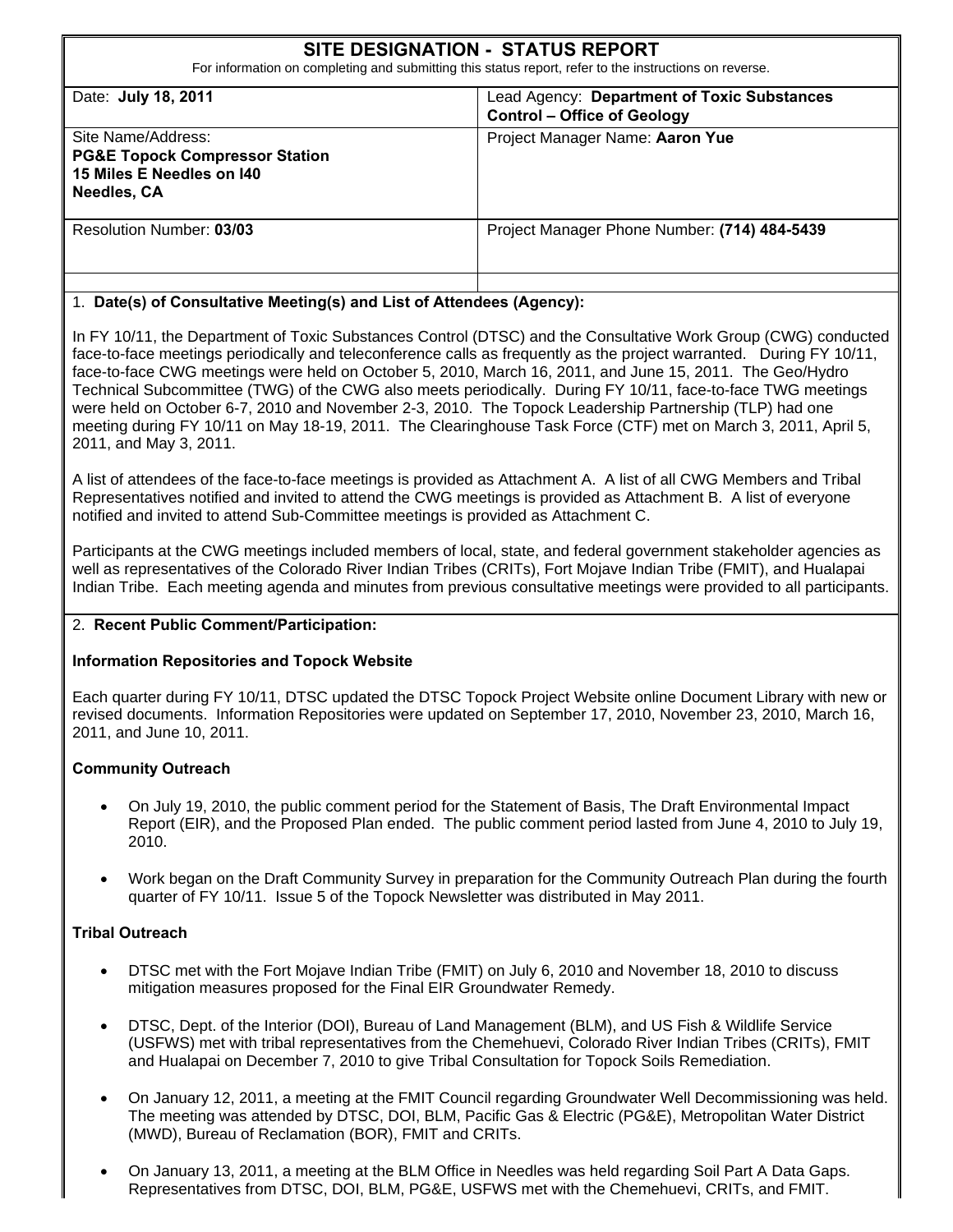# Site Name/Address: **SITE DESIGNATION - STATUS REPORT**  For information on completing and submitting this status report, refer to the instructions on reverse. Date: **July 18, 2011** Lead Agency: **Department of Toxic Substances Control – Office of Geology PG&E Topock Compressor Station 15 Miles E Needles on I40 Needles, CA**  Project Manager Name: **Aaron Yue**  Resolution Number: **03/03** Project Manager Phone Number: **(714) 484-5439**

#### 1. **Date(s) of Consultative Meeting(s) and List of Attendees (Agency):**

In FY 10/11, the Department of Toxic Substances Control (DTSC) and the Consultative Work Group (CWG) conducted face-to-face meetings periodically and teleconference calls as frequently as the project warranted. During FY 10/11, face-to-face CWG meetings were held on October 5, 2010, March 16, 2011, and June 15, 2011. The Geo/Hydro Technical Subcommittee (TWG) of the CWG also meets periodically. During FY 10/11, face-to-face TWG meetings were held on October 6-7, 2010 and November 2-3, 2010. The Topock Leadership Partnership (TLP) had one meeting during FY 10/11 on May 18-19, 2011. The Clearinghouse Task Force (CTF) met on March 3, 2011, April 5, 2011, and May 3, 2011.

A list of attendees of the face-to-face meetings is provided as Attachment A. A list of all CWG Members and Tribal Representatives notified and invited to attend the CWG meetings is provided as Attachment B. A list of everyone notified and invited to attend Sub-Committee meetings is provided as Attachment C.

Participants at the CWG meetings included members of local, state, and federal government stakeholder agencies as well as representatives of the Colorado River Indian Tribes (CRITs), Fort Mojave Indian Tribe (FMIT), and Hualapai Indian Tribe. Each meeting agenda and minutes from previous consultative meetings were provided to all participants.

#### 2. **Recent Public Comment/Participation:**

#### **Information Repositories and Topock Website**

Each quarter during FY 10/11, DTSC updated the DTSC Topock Project Website online Document Library with new or revised documents. Information Repositories were updated on September 17, 2010, November 23, 2010, March 16, 2011, and June 10, 2011.

#### **Community Outreach**

- On July 19, 2010, the public comment period for the Statement of Basis, The Draft Environmental Impact Report (EIR), and the Proposed Plan ended. The public comment period lasted from June 4, 2010 to July 19, 2010.
- Work began on the Draft Community Survey in preparation for the Community Outreach Plan during the fourth quarter of FY 10/11. Issue 5 of the Topock Newsletter was distributed in May 2011.

#### **Tribal Outreach**

- DTSC met with the Fort Mojave Indian Tribe (FMIT) on July 6, 2010 and November 18, 2010 to discuss mitigation measures proposed for the Final EIR Groundwater Remedy.
- DTSC, Dept. of the Interior (DOI), Bureau of Land Management (BLM), and US Fish & Wildlife Service (USFWS) met with tribal representatives from the Chemehuevi, Colorado River Indian Tribes (CRITs), FMIT and Hualapai on December 7, 2010 to give Tribal Consultation for Topock Soils Remediation.
- On January 12, 2011, a meeting at the FMIT Council regarding Groundwater Well Decommissioning was held. The meeting was attended by DTSC, DOI, BLM, Pacific Gas & Electric (PG&E), Metropolitan Water District (MWD), Bureau of Reclamation (BOR), FMIT and CRITs.
- On January 13, 2011, a meeting at the BLM Office in Needles was held regarding Soil Part A Data Gaps. Representatives from DTSC, DOI, BLM, PG&E, USFWS met with the Chemehuevi, CRITs, and FMIT.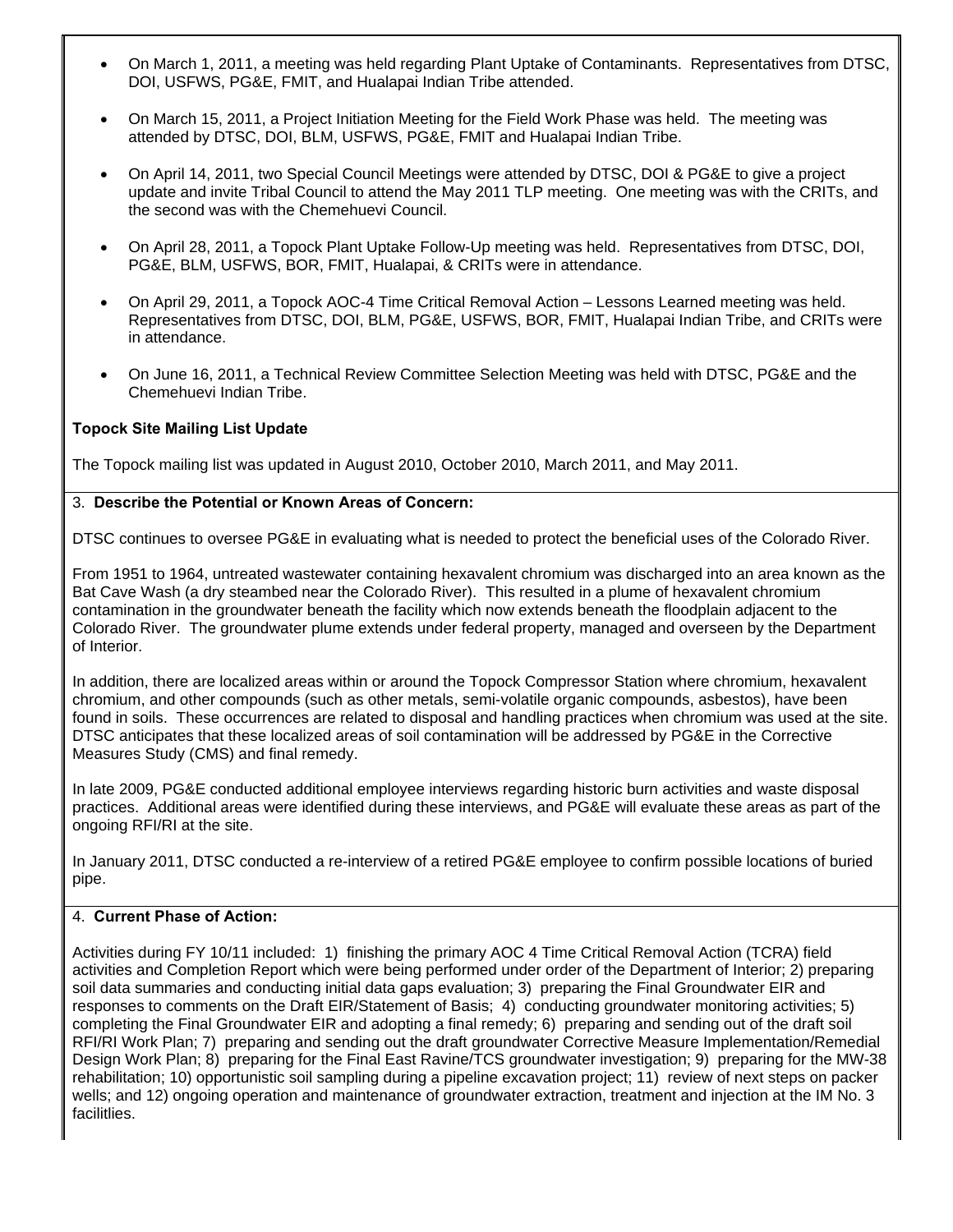- On March 1, 2011, a meeting was held regarding Plant Uptake of Contaminants. Representatives from DTSC, DOI, USFWS, PG&E, FMIT, and Hualapai Indian Tribe attended.
- On March 15, 2011, a Project Initiation Meeting for the Field Work Phase was held. The meeting was attended by DTSC, DOI, BLM, USFWS, PG&E, FMIT and Hualapai Indian Tribe.
- On April 14, 2011, two Special Council Meetings were attended by DTSC, DOI & PG&E to give a project update and invite Tribal Council to attend the May 2011 TLP meeting. One meeting was with the CRITs, and the second was with the Chemehuevi Council.
- On April 28, 2011, a Topock Plant Uptake Follow-Up meeting was held. Representatives from DTSC, DOI, PG&E, BLM, USFWS, BOR, FMIT, Hualapai, & CRITs were in attendance.
- On April 29, 2011, a Topock AOC-4 Time Critical Removal Action Lessons Learned meeting was held. Representatives from DTSC, DOI, BLM, PG&E, USFWS, BOR, FMIT, Hualapai Indian Tribe, and CRITs were in attendance.
- On June 16, 2011, a Technical Review Committee Selection Meeting was held with DTSC, PG&E and the Chemehuevi Indian Tribe.

#### **Topock Site Mailing List Update**

The Topock mailing list was updated in August 2010, October 2010, March 2011, and May 2011.

#### 3. **Describe the Potential or Known Areas of Concern:**

DTSC continues to oversee PG&E in evaluating what is needed to protect the beneficial uses of the Colorado River.

From 1951 to 1964, untreated wastewater containing hexavalent chromium was discharged into an area known as the Bat Cave Wash (a dry steambed near the Colorado River). This resulted in a plume of hexavalent chromium contamination in the groundwater beneath the facility which now extends beneath the floodplain adjacent to the Colorado River. The groundwater plume extends under federal property, managed and overseen by the Department of Interior.

In addition, there are localized areas within or around the Topock Compressor Station where chromium, hexavalent chromium, and other compounds (such as other metals, semi-volatile organic compounds, asbestos), have been found in soils. These occurrences are related to disposal and handling practices when chromium was used at the site. DTSC anticipates that these localized areas of soil contamination will be addressed by PG&E in the Corrective Measures Study (CMS) and final remedy.

In late 2009, PG&E conducted additional employee interviews regarding historic burn activities and waste disposal practices. Additional areas were identified during these interviews, and PG&E will evaluate these areas as part of the ongoing RFI/RI at the site.

In January 2011, DTSC conducted a re-interview of a retired PG&E employee to confirm possible locations of buried pipe.

#### 4. **Current Phase of Action:**

Activities during FY 10/11 included: 1) finishing the primary AOC 4 Time Critical Removal Action (TCRA) field activities and Completion Report which were being performed under order of the Department of Interior; 2) preparing soil data summaries and conducting initial data gaps evaluation; 3) preparing the Final Groundwater EIR and responses to comments on the Draft EIR/Statement of Basis; 4) conducting groundwater monitoring activities; 5) completing the Final Groundwater EIR and adopting a final remedy; 6) preparing and sending out of the draft soil RFI/RI Work Plan; 7) preparing and sending out the draft groundwater Corrective Measure Implementation/Remedial Design Work Plan; 8) preparing for the Final East Ravine/TCS groundwater investigation; 9) preparing for the MW-38 rehabilitation; 10) opportunistic soil sampling during a pipeline excavation project; 11) review of next steps on packer wells; and 12) ongoing operation and maintenance of groundwater extraction, treatment and injection at the IM No. 3 facilitlies.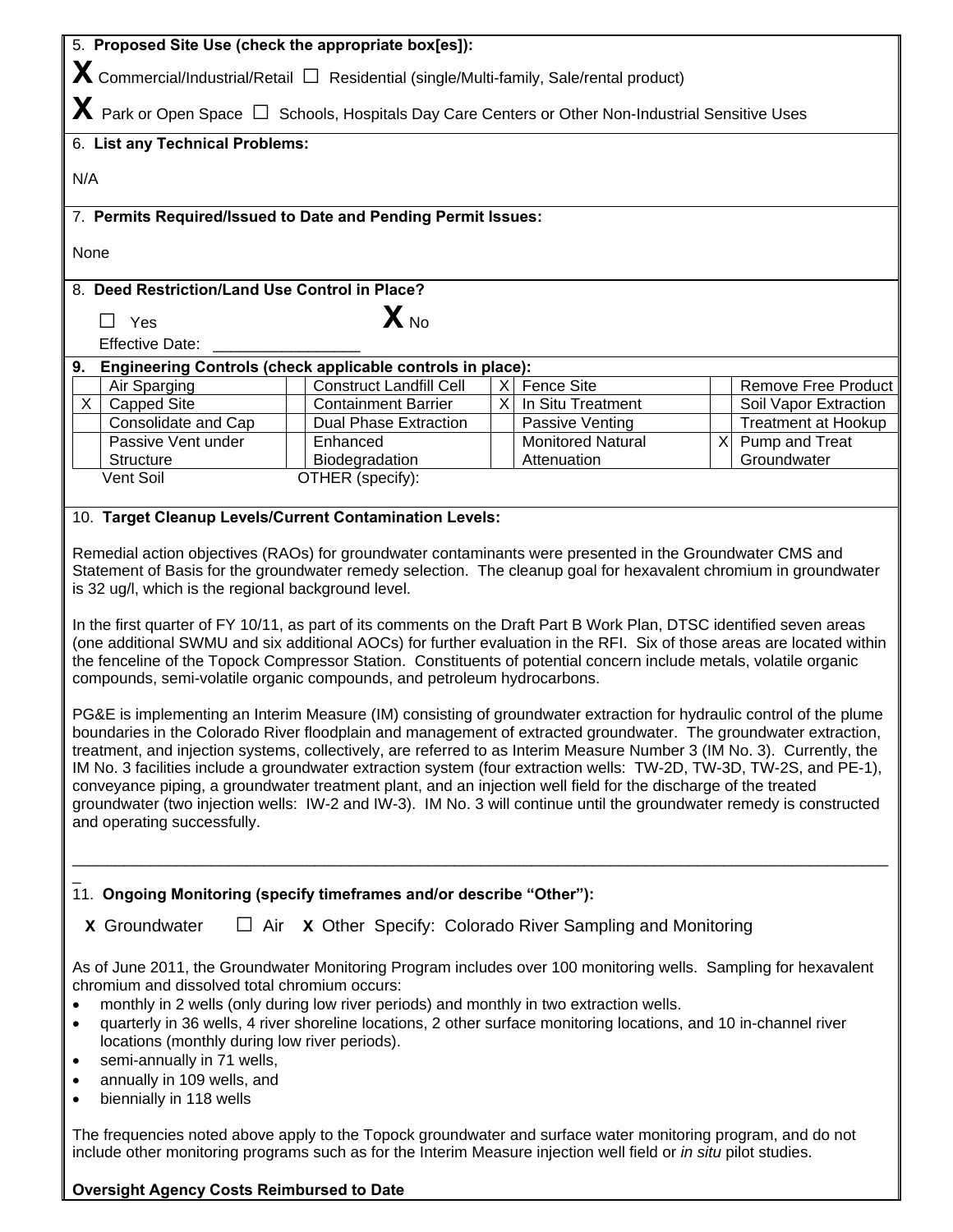| 5. Proposed Site Use (check the appropriate box[es]):                                                                                                                                                                                  |                                |    |                                                                         |  |                                 |  |
|----------------------------------------------------------------------------------------------------------------------------------------------------------------------------------------------------------------------------------------|--------------------------------|----|-------------------------------------------------------------------------|--|---------------------------------|--|
| $\bm{X}$ Commercial/Industrial/Retail $\Box$ Residential (single/Multi-family, Sale/rental product)                                                                                                                                    |                                |    |                                                                         |  |                                 |  |
| $\bm{X}$ Park or Open Space $\Box$ Schools, Hospitals Day Care Centers or Other Non-Industrial Sensitive Uses                                                                                                                          |                                |    |                                                                         |  |                                 |  |
| 6. List any Technical Problems:                                                                                                                                                                                                        |                                |    |                                                                         |  |                                 |  |
| N/A                                                                                                                                                                                                                                    |                                |    |                                                                         |  |                                 |  |
| 7. Permits Required/Issued to Date and Pending Permit Issues:                                                                                                                                                                          |                                |    |                                                                         |  |                                 |  |
| None                                                                                                                                                                                                                                   |                                |    |                                                                         |  |                                 |  |
| 8. Deed Restriction/Land Use Control in Place?                                                                                                                                                                                         |                                |    |                                                                         |  |                                 |  |
| Yes<br>$\mathsf{L}$                                                                                                                                                                                                                    | $\mathbf{X}_{\text{ No}}$      |    |                                                                         |  |                                 |  |
| <b>Effective Date:</b>                                                                                                                                                                                                                 |                                |    |                                                                         |  |                                 |  |
| Engineering Controls (check applicable controls in place):<br>9.                                                                                                                                                                       |                                |    |                                                                         |  |                                 |  |
| Air Sparging                                                                                                                                                                                                                           | <b>Construct Landfill Cell</b> | ΧI | Fence Site                                                              |  | <b>Remove Free Product</b>      |  |
| X<br><b>Capped Site</b>                                                                                                                                                                                                                | <b>Containment Barrier</b>     | X  | In Situ Treatment                                                       |  | Soil Vapor Extraction           |  |
| Consolidate and Cap                                                                                                                                                                                                                    | <b>Dual Phase Extraction</b>   |    | Passive Venting                                                         |  | Treatment at Hookup             |  |
| Passive Vent under<br>Enhanced<br>Structure                                                                                                                                                                                            | Biodegradation                 |    | <b>Monitored Natural</b><br>Attenuation                                 |  | X Pump and Treat<br>Groundwater |  |
| Vent Soil                                                                                                                                                                                                                              | OTHER (specify):               |    |                                                                         |  |                                 |  |
|                                                                                                                                                                                                                                        |                                |    |                                                                         |  |                                 |  |
| 10. Target Cleanup Levels/Current Contamination Levels:                                                                                                                                                                                |                                |    |                                                                         |  |                                 |  |
|                                                                                                                                                                                                                                        |                                |    |                                                                         |  |                                 |  |
| Remedial action objectives (RAOs) for groundwater contaminants were presented in the Groundwater CMS and                                                                                                                               |                                |    |                                                                         |  |                                 |  |
| Statement of Basis for the groundwater remedy selection. The cleanup goal for hexavalent chromium in groundwater<br>is 32 ug/l, which is the regional background level.                                                                |                                |    |                                                                         |  |                                 |  |
|                                                                                                                                                                                                                                        |                                |    |                                                                         |  |                                 |  |
| In the first quarter of FY 10/11, as part of its comments on the Draft Part B Work Plan, DTSC identified seven areas                                                                                                                   |                                |    |                                                                         |  |                                 |  |
| (one additional SWMU and six additional AOCs) for further evaluation in the RFI. Six of those areas are located within                                                                                                                 |                                |    |                                                                         |  |                                 |  |
| the fenceline of the Topock Compressor Station. Constituents of potential concern include metals, volatile organic                                                                                                                     |                                |    |                                                                         |  |                                 |  |
| compounds, semi-volatile organic compounds, and petroleum hydrocarbons.                                                                                                                                                                |                                |    |                                                                         |  |                                 |  |
|                                                                                                                                                                                                                                        |                                |    |                                                                         |  |                                 |  |
| PG&E is implementing an Interim Measure (IM) consisting of groundwater extraction for hydraulic control of the plume                                                                                                                   |                                |    |                                                                         |  |                                 |  |
| boundaries in the Colorado River floodplain and management of extracted groundwater. The groundwater extraction,                                                                                                                       |                                |    |                                                                         |  |                                 |  |
| treatment, and injection systems, collectively, are referred to as Interim Measure Number 3 (IM No. 3). Currently, the                                                                                                                 |                                |    |                                                                         |  |                                 |  |
| IM No. 3 facilities include a groundwater extraction system (four extraction wells: TW-2D, TW-3D, TW-2S, and PE-1),                                                                                                                    |                                |    |                                                                         |  |                                 |  |
| conveyance piping, a groundwater treatment plant, and an injection well field for the discharge of the treated<br>groundwater (two injection wells: IW-2 and IW-3). IM No. 3 will continue until the groundwater remedy is constructed |                                |    |                                                                         |  |                                 |  |
| and operating successfully.                                                                                                                                                                                                            |                                |    |                                                                         |  |                                 |  |
|                                                                                                                                                                                                                                        |                                |    |                                                                         |  |                                 |  |
|                                                                                                                                                                                                                                        |                                |    |                                                                         |  |                                 |  |
|                                                                                                                                                                                                                                        |                                |    |                                                                         |  |                                 |  |
| 11. Ongoing Monitoring (specify timeframes and/or describe "Other"):                                                                                                                                                                   |                                |    |                                                                         |  |                                 |  |
| <b>X</b> Groundwater                                                                                                                                                                                                                   |                                |    | $\Box$ Air $\chi$ Other Specify: Colorado River Sampling and Monitoring |  |                                 |  |
|                                                                                                                                                                                                                                        |                                |    |                                                                         |  |                                 |  |
| As of June 2011, the Groundwater Monitoring Program includes over 100 monitoring wells. Sampling for hexavalent                                                                                                                        |                                |    |                                                                         |  |                                 |  |
| chromium and dissolved total chromium occurs:                                                                                                                                                                                          |                                |    |                                                                         |  |                                 |  |
| monthly in 2 wells (only during low river periods) and monthly in two extraction wells.                                                                                                                                                |                                |    |                                                                         |  |                                 |  |
| quarterly in 36 wells, 4 river shoreline locations, 2 other surface monitoring locations, and 10 in-channel river<br>$\bullet$                                                                                                         |                                |    |                                                                         |  |                                 |  |
| locations (monthly during low river periods).                                                                                                                                                                                          |                                |    |                                                                         |  |                                 |  |
| semi-annually in 71 wells,<br>$\bullet$                                                                                                                                                                                                |                                |    |                                                                         |  |                                 |  |
| annually in 109 wells, and<br>$\bullet$                                                                                                                                                                                                |                                |    |                                                                         |  |                                 |  |
| biennially in 118 wells<br>$\bullet$                                                                                                                                                                                                   |                                |    |                                                                         |  |                                 |  |
|                                                                                                                                                                                                                                        |                                |    |                                                                         |  |                                 |  |
| The frequencies noted above apply to the Topock groundwater and surface water monitoring program, and do not<br>include other monitoring programs such as for the Interim Measure injection well field or in situ pilot studies.       |                                |    |                                                                         |  |                                 |  |
| <b>Oversight Agency Costs Reimbursed to Date</b>                                                                                                                                                                                       |                                |    |                                                                         |  |                                 |  |

#### **Oversight Agency Costs Reimbursed to Date**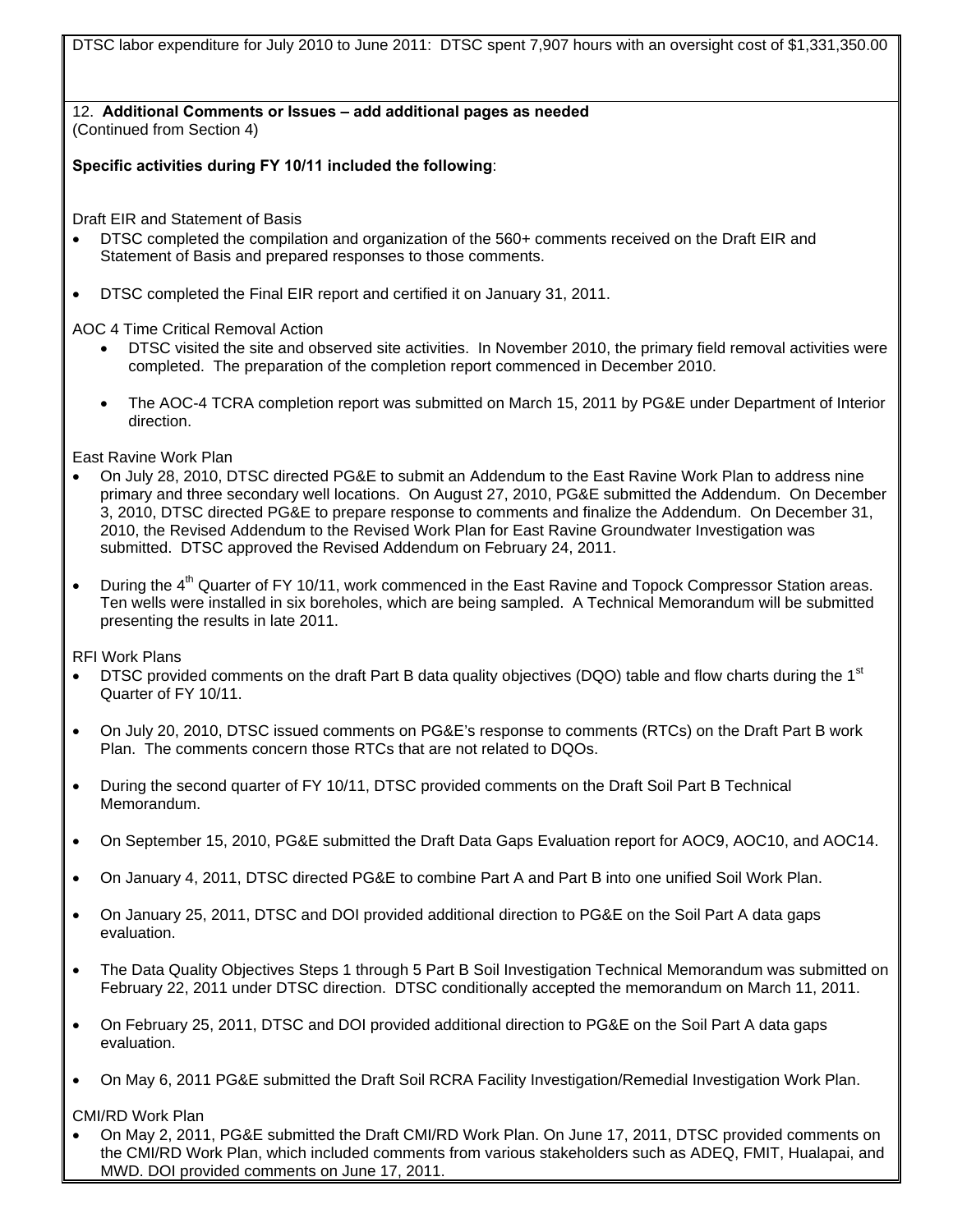DTSC labor expenditure for July 2010 to June 2011: DTSC spent 7,907 hours with an oversight cost of \$[1,331,350.00](https://1,331,350.00)

12. **Additional Comments or Issues – add additional pages as needed**  (Continued from Section 4)

**Specific activities during FY 10/11 included the following**:

Draft EIR and Statement of Basis

- DTSC completed the compilation and organization of the 560+ comments received on the Draft EIR and Statement of Basis and prepared responses to those comments.
- DTSC completed the Final EIR report and certified it on January 31, 2011.

AOC 4 Time Critical Removal Action

- DTSC visited the site and observed site activities. In November 2010, the primary field removal activities were completed. The preparation of the completion report commenced in December 2010.
- The AOC-4 TCRA completion report was submitted on March 15, 2011 by PG&E under Department of Interior direction.

East Ravine Work Plan

- On July 28, 2010, DTSC directed PG&E to submit an Addendum to the East Ravine Work Plan to address nine primary and three secondary well locations. On August 27, 2010, PG&E submitted the Addendum. On December 3, 2010, DTSC directed PG&E to prepare response to comments and finalize the Addendum. On December 31, 2010, the Revised Addendum to the Revised Work Plan for East Ravine Groundwater Investigation was submitted. DTSC approved the Revised Addendum on February 24, 2011.
- During the 4<sup>th</sup> Quarter of FY 10/11, work commenced in the East Ravine and Topock Compressor Station areas. Ten wells were installed in six boreholes, which are being sampled. A Technical Memorandum will be submitted presenting the results in late 2011.

RFI Work Plans

- DTSC provided comments on the draft Part B data quality objectives (DQO) table and flow charts during the 1st Quarter of FY 10/11.
- On July 20, 2010, DTSC issued comments on PG&E's response to comments (RTCs) on the Draft Part B work Plan. The comments concern those RTCs that are not related to DQOs.
- During the second quarter of FY 10/11, DTSC provided comments on the Draft Soil Part B Technical Memorandum.
- On September 15, 2010, PG&E submitted the Draft Data Gaps Evaluation report for AOC9, AOC10, and AOC14.
- On January 4, 2011, DTSC directed PG&E to combine Part A and Part B into one unified Soil Work Plan.
- On January 25, 2011, DTSC and DOI provided additional direction to PG&E on the Soil Part A data gaps evaluation.
- The Data Quality Objectives Steps 1 through 5 Part B Soil Investigation Technical Memorandum was submitted on February 22, 2011 under DTSC direction. DTSC conditionally accepted the memorandum on March 11, 2011.
- On February 25, 2011, DTSC and DOI provided additional direction to PG&E on the Soil Part A data gaps evaluation.
- On May 6, 2011 PG&E submitted the Draft Soil RCRA Facility Investigation/Remedial Investigation Work Plan.

CMI/RD Work Plan

• On May 2, 2011, PG&E submitted the Draft CMI/RD Work Plan. On June 17, 2011, DTSC provided comments on the CMI/RD Work Plan, which included comments from various stakeholders such as ADEQ, FMIT, Hualapai, and MWD. DOI provided comments on June 17, 2011.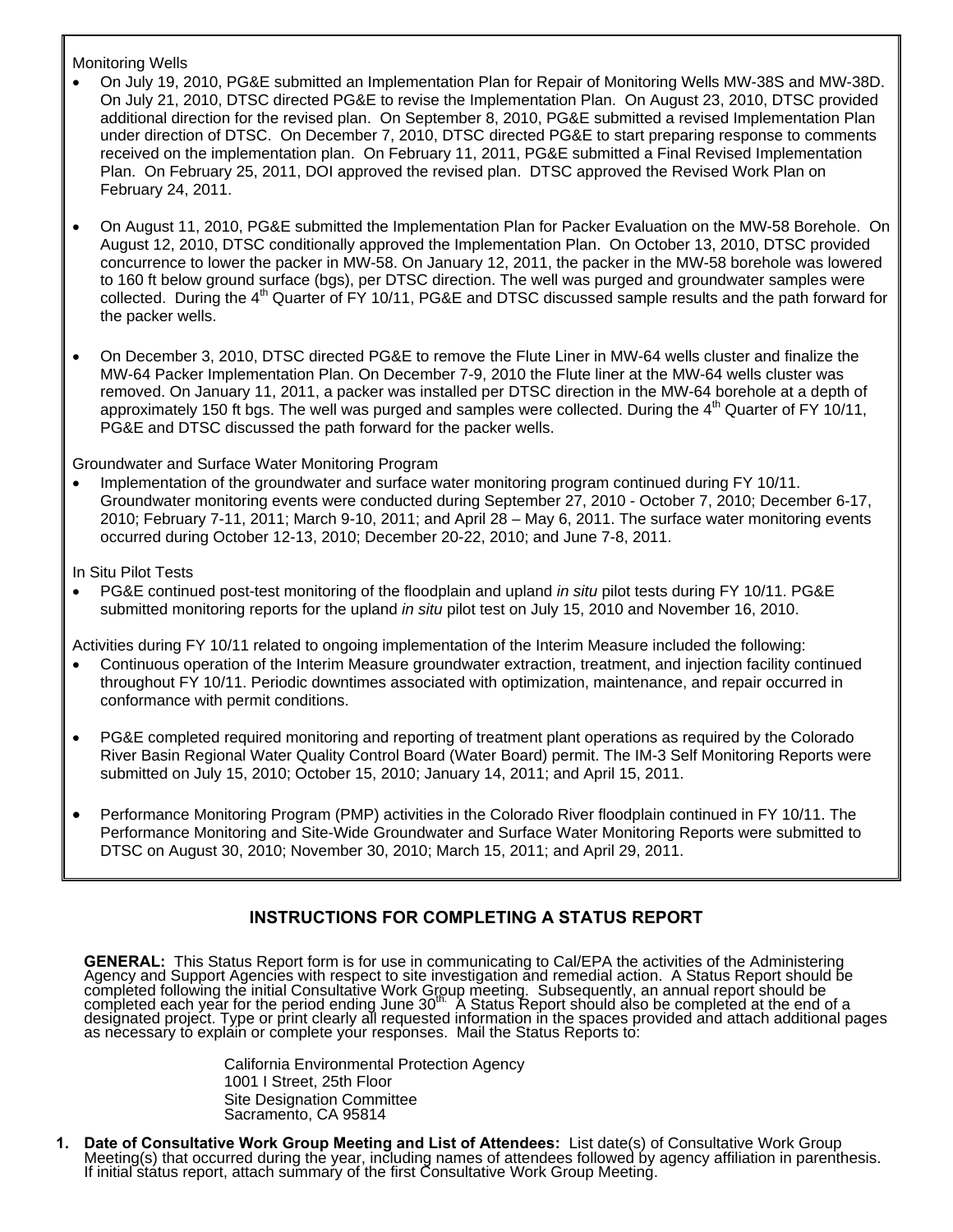#### Monitoring Wells

- On July 19, 2010, PG&E submitted an Implementation Plan for Repair of Monitoring Wells MW-38S and MW-38D. On July 21, 2010, DTSC directed PG&E to revise the Implementation Plan. On August 23, 2010, DTSC provided additional direction for the revised plan. On September 8, 2010, PG&E submitted a revised Implementation Plan under direction of DTSC. On December 7, 2010, DTSC directed PG&E to start preparing response to comments received on the implementation plan. On February 11, 2011, PG&E submitted a Final Revised Implementation Plan. On February 25, 2011, DOI approved the revised plan. DTSC approved the Revised Work Plan on February 24, 2011.
- On August 11, 2010, PG&E submitted the Implementation Plan for Packer Evaluation on the MW-58 Borehole. On August 12, 2010, DTSC conditionally approved the Implementation Plan. On October 13, 2010, DTSC provided concurrence to lower the packer in MW-58. On January 12, 2011, the packer in the MW-58 borehole was lowered to 160 ft below ground surface (bgs), per DTSC direction. The well was purged and groundwater samples were collected. During the 4<sup>th</sup> Quarter of FY 10/11, PG&E and DTSC discussed sample results and the path forward for the packer wells.
- On December 3, 2010, DTSC directed PG&E to remove the Flute Liner in MW-64 wells cluster and finalize the MW-64 Packer Implementation Plan. On December 7-9, 2010 the Flute liner at the MW-64 wells cluster was removed. On January 11, 2011, a packer was installed per DTSC direction in the MW-64 borehole at a depth of approximately 150 ft bgs. The well was purged and samples were collected. During the  $4<sup>th</sup>$  Quarter of FY 10/11, PG&E and DTSC discussed the path forward for the packer wells.

#### Groundwater and Surface Water Monitoring Program

• Implementation of the groundwater and surface water monitoring program continued during FY 10/11. Groundwater monitoring events were conducted during September 27, 2010 - October 7, 2010; December 6-17, 2010; February 7-11, 2011; March 9-10, 2011; and April 28 – May 6, 2011. The surface water monitoring events occurred during October 12-13, 2010; December 20-22, 2010; and June 7-8, 2011.

#### In Situ Pilot Tests

• PG&E continued post-test monitoring of the floodplain and upland *in situ* pilot tests during FY 10/11. PG&E submitted monitoring reports for the upland *in situ* pilot test on July 15, 2010 and November 16, 2010.

Activities during FY 10/11 related to ongoing implementation of the Interim Measure included the following:

- Continuous operation of the Interim Measure groundwater extraction, treatment, and injection facility continued throughout FY 10/11. Periodic downtimes associated with optimization, maintenance, and repair occurred in conformance with permit conditions.
- PG&E completed required monitoring and reporting of treatment plant operations as required by the Colorado River Basin Regional Water Quality Control Board (Water Board) permit. The IM-3 Self Monitoring Reports were submitted on July 15, 2010; October 15, 2010; January 14, 2011; and April 15, 2011.
- Performance Monitoring Program (PMP) activities in the Colorado River floodplain continued in FY 10/11. The Performance Monitoring and Site-Wide Groundwater and Surface Water Monitoring Reports were submitted to DTSC on August 30, 2010; November 30, 2010; March 15, 2011; and April 29, 2011.

#### **INSTRUCTIONS FOR COMPLETING A STATUS REPORT**

**GENERAL:** This Status Report form is for use in communicating to Cal/EPA the activities of the Administering<br>Agency and Support Agencies with respect to site investigation and remedial action. A Status Report should be completed following the initial Consultative Work Group meeting. Subsequently, an annual report should be<br>completed each year for the period ending June 30<sup>th.</sup> A Status Report should also be completed at the end of a<br>desi

> California Environmental Protection Agency 1001 I Street, 25th Floor Site Designation Committee Sacramento, CA 95814

1. Date of Consultative Work Group Meeting and List of Attendees: List date(s) of Consultative Work Group<br>Meeting(s) that occurred during the year, including names of attendees followed by agency affiliation in parenthesis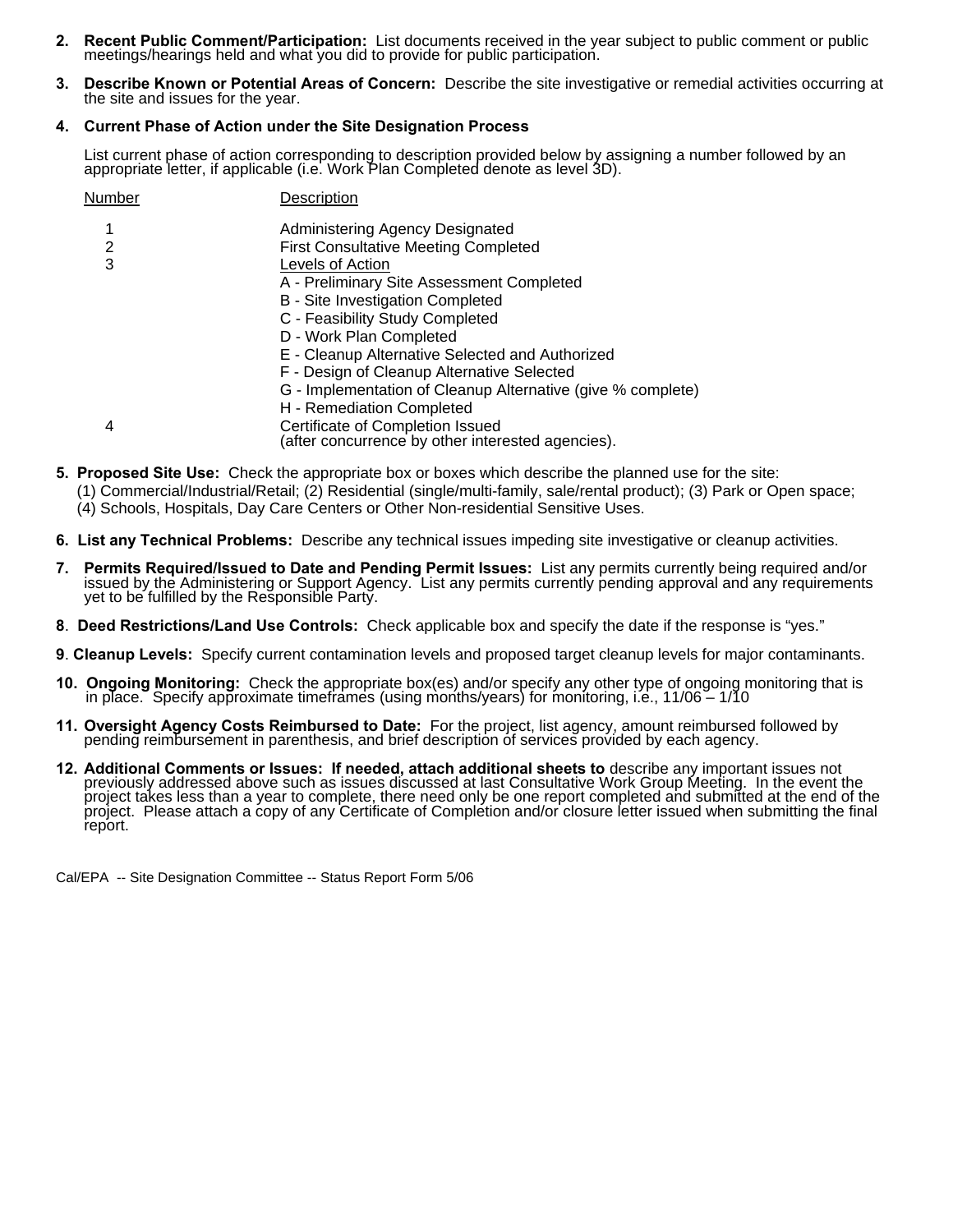- **2. Recent Public Comment/Participation:** List documents received in the year subject to public comment or public meetings/hearings held and what you did to provide for public participation.
- **3. Describe Known or Potential Areas of Concern:** Describe the site investigative or remedial activities occurring at the site and issues for the year.

#### **4. Current Phase of Action under the Site Designation Process**

List current phase of action corresponding to description provided below by assigning a number followed by an appropriate letter, if applicable (i.e. Work Plan Completed denote as level 3D).

| Number | Description                                                                           |
|--------|---------------------------------------------------------------------------------------|
|        | Administering Agency Designated                                                       |
| 2      | <b>First Consultative Meeting Completed</b>                                           |
| 3      | Levels of Action                                                                      |
|        | A - Preliminary Site Assessment Completed                                             |
|        | B - Site Investigation Completed                                                      |
|        | C - Feasibility Study Completed                                                       |
|        | D - Work Plan Completed                                                               |
|        | E - Cleanup Alternative Selected and Authorized                                       |
|        | F - Design of Cleanup Alternative Selected                                            |
|        | G - Implementation of Cleanup Alternative (give % complete)                           |
|        | H - Remediation Completed                                                             |
| 4      | Certificate of Completion Issued<br>(after concurrence by other interested agencies). |

- **5. Proposed Site Use:** Check the appropriate box or boxes which describe the planned use for the site:
	- (1) Commercial/Industrial/Retail; (2) Residential (single/multi-family, sale/rental product); (3) Park or Open space;
	- (4) Schools, Hospitals, Day Care Centers or Other Non-residential Sensitive Uses.
- **6. List any Technical Problems:** Describe any technical issues impeding site investigative or cleanup activities.
- 7. Permits Required/Issued to Date and Pending Permit Issues: List any permits currently being required and/or issued by the Administering or Support Agency. List any permits currently pending approval and any requirements
- **8**. **Deed Restrictions/Land Use Controls:** Check applicable box and specify the date if the response is "yes."
- **9**. **Cleanup Levels:** Specify current contamination levels and proposed target cleanup levels for major contaminants.
- **10. Ongoing Monitoring:** Check the appropriate box(es) and/or specify any other type of ongoing monitoring that is in place. Specify approximate timeframes (using months/years) for monitoring, i.e., 11/06 1/10
- **11. Oversight Agency Costs Reimbursed to Date:** For the project, list agency, amount reimbursed followed by pending reimbursement in parenthesis, and brief description of services provided by each agency.
- **12. Additional Comments or Issues: If needed, attach additional sheets to** describe any important issues not previously addressed above such as issues discussed at last Consultative Work Group Meeting. In the event the pr report.

Cal/EPA -- Site Designation Committee -- Status Report Form 5/06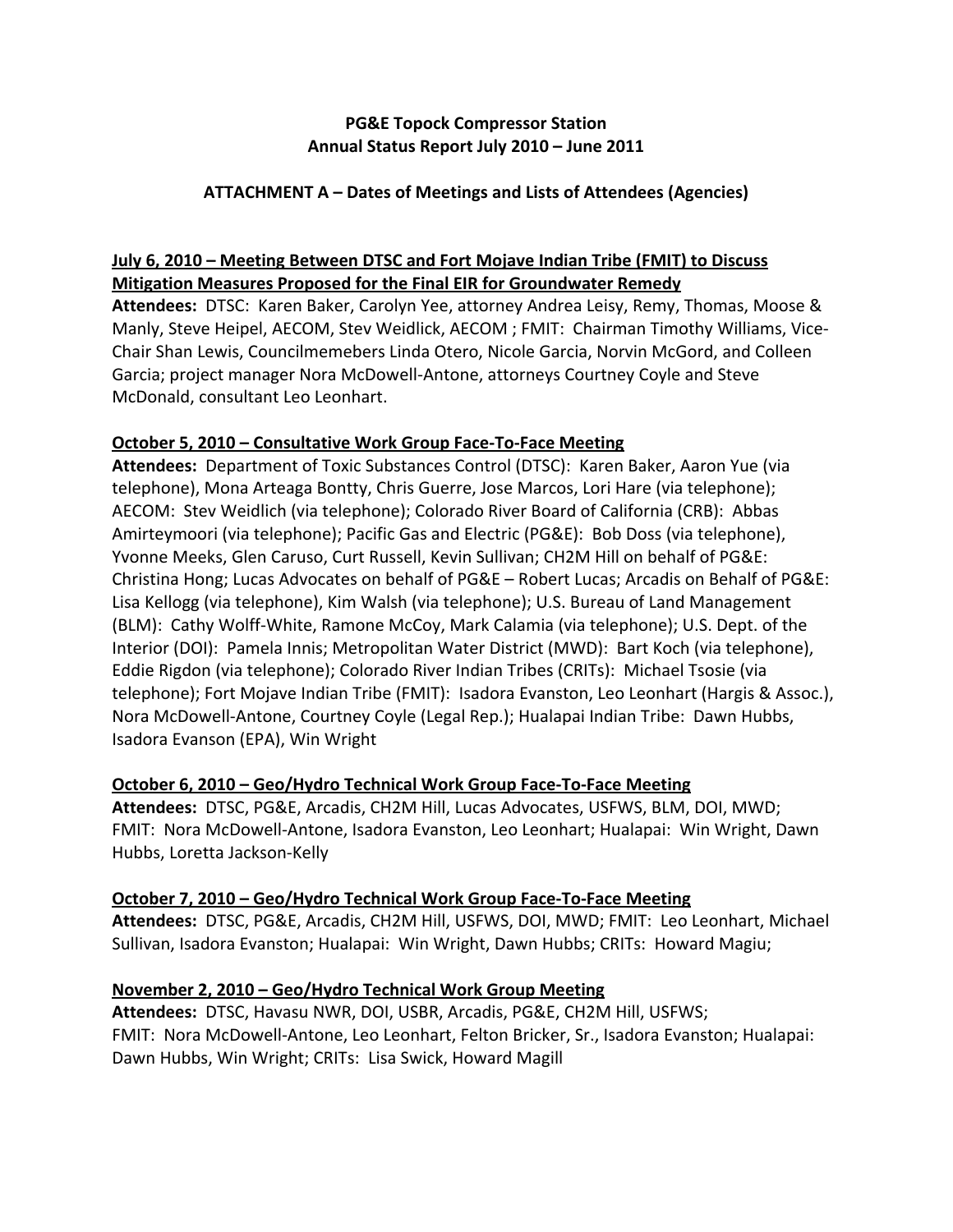#### **PG&E Topock Compressor Station Annual Status Report July 2010 – June 2011**

#### **ATTACHMENT A – Dates of Meetings and Lists of Attendees (Agencies)**

## **July 6, 2010 – Meeting Between DTSC and Fort Mojave Indian Tribe (FMIT) to Discuss Mitigation Measures Proposed for the Final EIR for Groundwater Remedy**

 **Attendees:** DTSC: Karen Baker, Carolyn Yee, attorney Andrea Leisy, Remy, Thomas, Moose & Manly, Steve Heipel, AECOM, Stev Weidlick, AECOM ; FMIT: Chairman Timothy Williams, Vice‐ Chair Shan Lewis, Councilmemebers Linda Otero, Nicole Garcia, Norvin McGord, and Colleen Garcia; project manager Nora McDowell‐Antone, attorneys Courtney Coyle and Steve McDonald, consultant Leo Leonhart.

#### **October 5, 2010 – Consultative Work Group Face‐To‐Face Meeting**

 **Attendees:** Department of Toxic Substances Control (DTSC): Karen Baker, Aaron Yue (via telephone), Mona Arteaga Bontty, Chris Guerre, Jose Marcos, Lori Hare (via telephone); AECOM: Stev Weidlich (via telephone); Colorado River Board of California (CRB): Abbas Amirteymoori (via telephone); Pacific Gas and Electric (PG&E): Bob Doss (via telephone), Yvonne Meeks, Glen Caruso, Curt Russell, Kevin Sullivan; CH2M Hill on behalf of PG&E: Christina Hong; Lucas Advocates on behalf of PG&E – Robert Lucas; Arcadis on Behalf of PG&E: Lisa Kellogg (via telephone), Kim Walsh (via telephone); U.S. Bureau of Land Management (BLM): Cathy Wolff‐White, Ramone McCoy, Mark Calamia (via telephone); U.S. Dept. of the Interior (DOI): Pamela Innis; Metropolitan Water District (MWD): Bart Koch (via telephone), Eddie Rigdon (via telephone); Colorado River Indian Tribes (CRITs): Michael Tsosie (via telephone); Fort Mojave Indian Tribe (FMIT): Isadora Evanston, Leo Leonhart (Hargis & Assoc.), Nora McDowell‐Antone, Courtney Coyle (Legal Rep.); Hualapai Indian Tribe: Dawn Hubbs, Isadora Evanson (EPA), Win Wright

#### **October 6, 2010 – Geo/Hydro Technical Work Group Face‐To‐Face Meeting**

 **Attendees:** DTSC, PG&E, Arcadis, CH2M Hill, Lucas Advocates, USFWS, BLM, DOI, MWD; FMIT: Nora McDowell‐Antone, Isadora Evanston, Leo Leonhart; Hualapai: Win Wright, Dawn Hubbs, Loretta Jackson‐Kelly

#### **October 7, 2010 – Geo/Hydro Technical Work Group Face‐To‐Face Meeting**

 **Attendees:** DTSC, PG&E, Arcadis, CH2M Hill, USFWS, DOI, MWD; FMIT: Leo Leonhart, Michael Sullivan, Isadora Evanston; Hualapai: Win Wright, Dawn Hubbs; CRITs: Howard Magiu;

#### **November 2, 2010 – Geo/Hydro Technical Work Group Meeting**

 **Attendees:** DTSC, Havasu NWR, DOI, USBR, Arcadis, PG&E, CH2M Hill, USFWS; FMIT: Nora McDowell‐Antone, Leo Leonhart, Felton Bricker, Sr., Isadora Evanston; Hualapai: Dawn Hubbs, Win Wright; CRITs: Lisa Swick, Howard Magill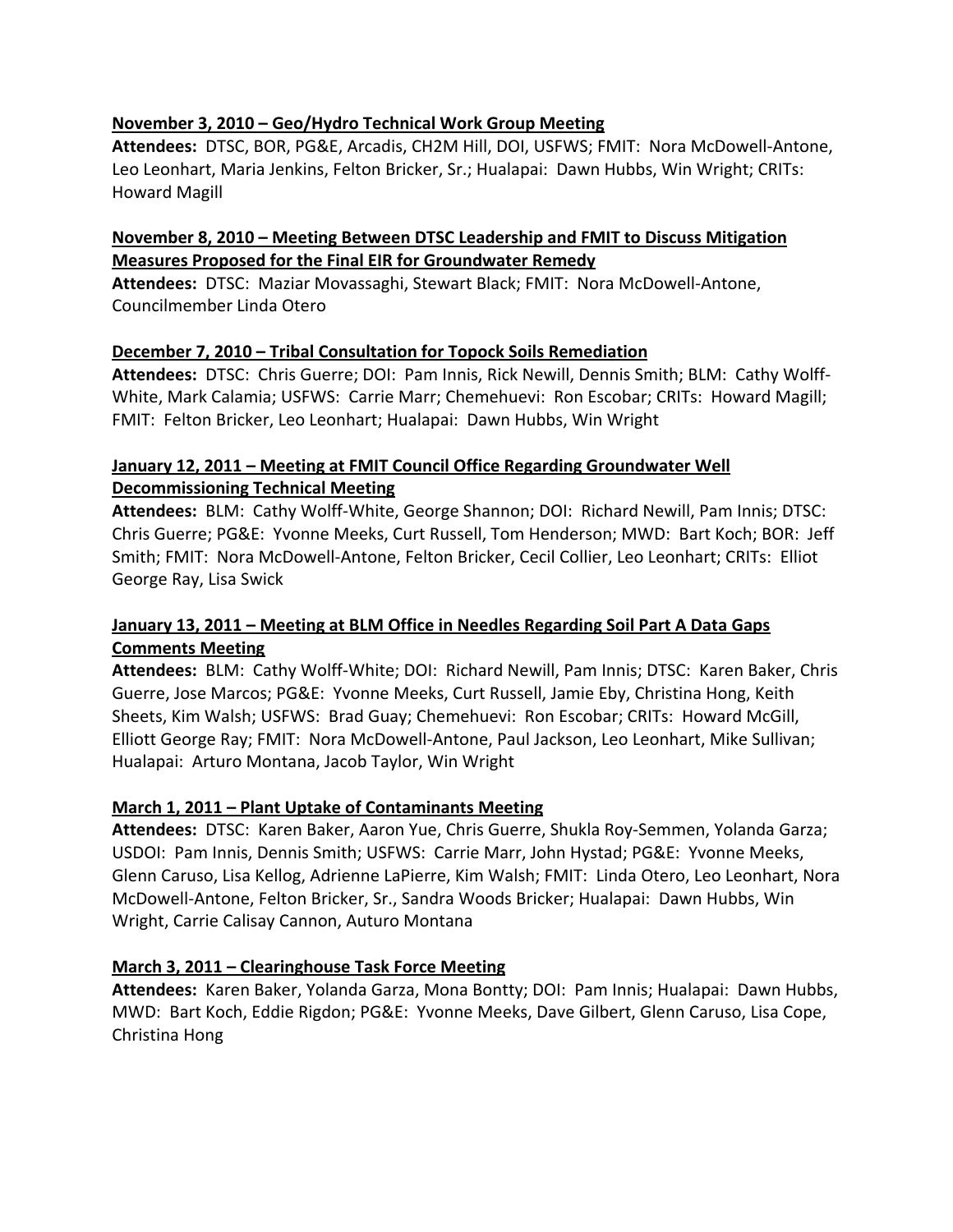#### **November 3, 2010 – Geo/Hydro Technical Work Group Meeting**

 **Attendees:** DTSC, BOR, PG&E, Arcadis, CH2M Hill, DOI, USFWS; FMIT: Nora McDowell‐Antone, Leo Leonhart, Maria Jenkins, Felton Bricker, Sr.; Hualapai: Dawn Hubbs, Win Wright; CRITs: Howard Magill

#### **November 8, 2010 – Meeting Between DTSC Leadership and FMIT to Discuss Mitigation Measures Proposed for the Final EIR for Groundwater Remedy**

 **Attendees:** DTSC: Maziar Movassaghi, Stewart Black; FMIT: Nora McDowell‐Antone, Councilmember Linda Otero

#### **December 7, 2010 – Tribal Consultation for Topock Soils Remediation**

 **Attendees:** DTSC: Chris Guerre; DOI: Pam Innis, Rick Newill, Dennis Smith; BLM: Cathy Wolff‐ White, Mark Calamia; USFWS: Carrie Marr; Chemehuevi: Ron Escobar; CRITs: Howard Magill; FMIT: Felton Bricker, Leo Leonhart; Hualapai: Dawn Hubbs, Win Wright

#### **January 12, 2011 – Meeting at FMIT Council Office Regarding Groundwater Well Decommissioning Technical Meeting**

 **Attendees:** BLM: Cathy Wolff‐White, George Shannon; DOI: Richard Newill, Pam Innis; DTSC: Chris Guerre; PG&E: Yvonne Meeks, Curt Russell, Tom Henderson; MWD: Bart Koch; BOR: Jeff Smith; FMIT: Nora McDowell‐Antone, Felton Bricker, Cecil Collier, Leo Leonhart; CRITs: Elliot George Ray, Lisa Swick

#### January 13, 2011 – Meeting at BLM Office in Needles Regarding Soil Part A Data Gaps  **Comments Meeting**

 **Attendees:** BLM: Cathy Wolff‐White; DOI: Richard Newill, Pam Innis; DTSC: Karen Baker, Chris Guerre, Jose Marcos; PG&E: Yvonne Meeks, Curt Russell, Jamie Eby, Christina Hong, Keith Sheets, Kim Walsh; USFWS: Brad Guay; Chemehuevi: Ron Escobar; CRITs: Howard McGill, Elliott George Ray; FMIT: Nora McDowell‐Antone, Paul Jackson, Leo Leonhart, Mike Sullivan; Hualapai: Arturo Montana, Jacob Taylor, Win Wright

#### **March 1, 2011 – Plant Uptake of Contaminants Meeting**

 **Attendees:** DTSC: Karen Baker, Aaron Yue, Chris Guerre, Shukla Roy‐Semmen, Yolanda Garza; USDOI: Pam Innis, Dennis Smith; USFWS: Carrie Marr, John Hystad; PG&E: Yvonne Meeks, Glenn Caruso, Lisa Kellog, Adrienne LaPierre, Kim Walsh; FMIT: Linda Otero, Leo Leonhart, Nora McDowell‐Antone, Felton Bricker, Sr., Sandra Woods Bricker; Hualapai: Dawn Hubbs, Win Wright, Carrie Calisay Cannon, Auturo Montana

#### **March 3, 2011 – Clearinghouse Task Force Meeting**

 **Attendees:** Karen Baker, Yolanda Garza, Mona Bontty; DOI: Pam Innis; Hualapai: Dawn Hubbs, MWD: Bart Koch, Eddie Rigdon; PG&E: Yvonne Meeks, Dave Gilbert, Glenn Caruso, Lisa Cope, Christina Hong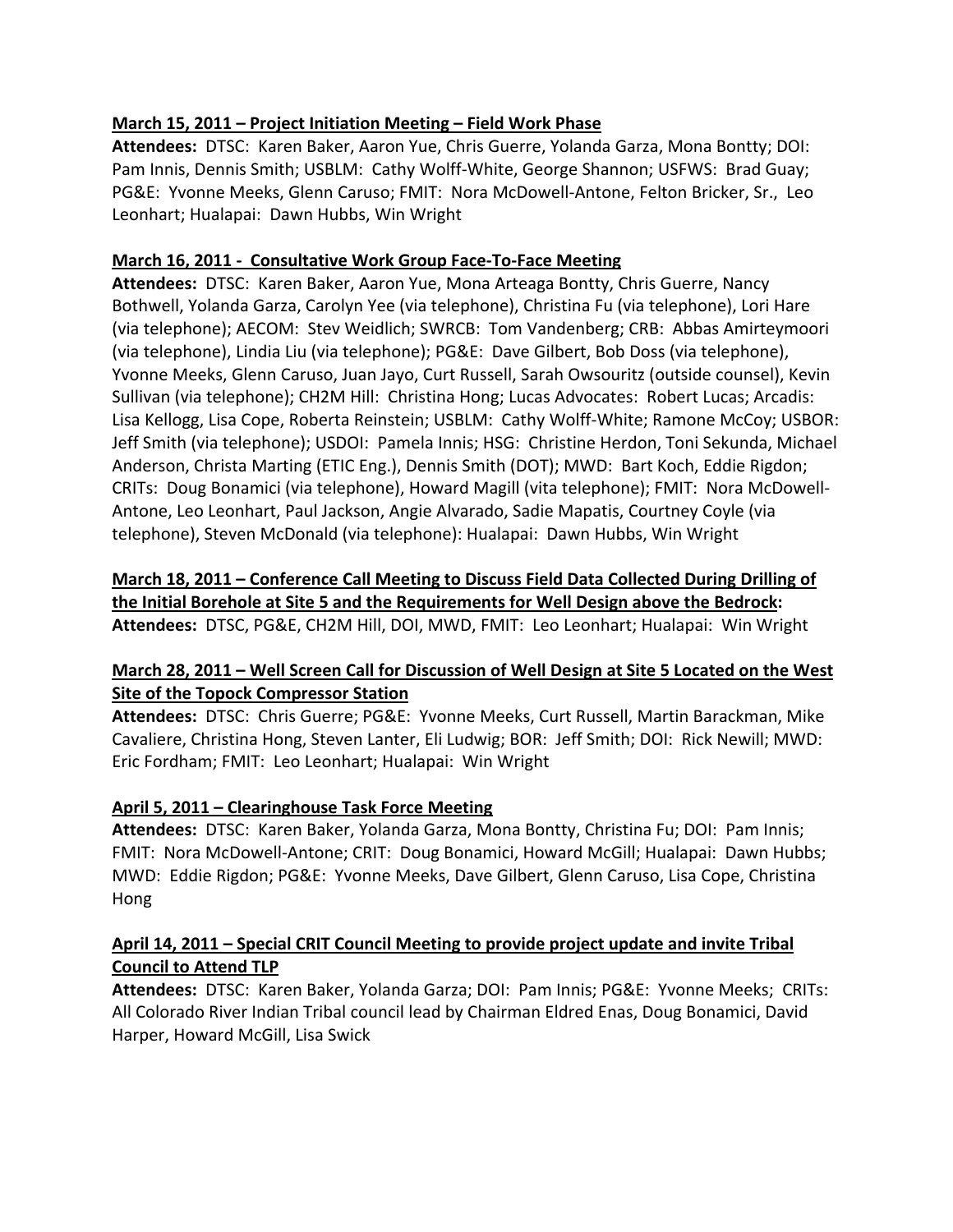#### **March 15, 2011 – Project Initiation Meeting – Field Work Phase**

 **Attendees:** DTSC: Karen Baker, Aaron Yue, Chris Guerre, Yolanda Garza, Mona Bontty; DOI: Pam Innis, Dennis Smith; USBLM: Cathy Wolff‐White, George Shannon; USFWS: Brad Guay; PG&E: Yvonne Meeks, Glenn Caruso; FMIT: Nora McDowell‐Antone, Felton Bricker, Sr., Leo Leonhart; Hualapai: Dawn Hubbs, Win Wright

### **March 16, 2011 ‐ Consultative Work Group Face‐To‐Face Meeting**

Attendees: DTSC: Karen Baker, Aaron Yue, Mona Arteaga Bontty, Chris Guerre, Nancy Bothwell, Yolanda Garza, Carolyn Yee (via telephone), Christina Fu (via telephone), Lori Hare (via telephone); AECOM: Stev Weidlich; SWRCB: Tom Vandenberg; CRB: Abbas Amirteymoori (via telephone), Lindia Liu (via telephone); PG&E: Dave Gilbert, Bob Doss (via telephone), Yvonne Meeks, Glenn Caruso, Juan Jayo, Curt Russell, Sarah Owsouritz (outside counsel), Kevin Sullivan (via telephone); CH2M Hill: Christina Hong; Lucas Advocates: Robert Lucas; Arcadis: Lisa Kellogg, Lisa Cope, Roberta Reinstein; USBLM: Cathy Wolff‐White; Ramone McCoy; USBOR: Jeff Smith (via telephone); USDOI: Pamela Innis; HSG: Christine Herdon, Toni Sekunda, Michael Anderson, Christa Marting (ETIC Eng.), Dennis Smith (DOT); MWD: Bart Koch, Eddie Rigdon; CRITs: Doug Bonamici (via telephone), Howard Magill (vita telephone); FMIT: Nora McDowell‐ Antone, Leo Leonhart, Paul Jackson, Angie Alvarado, Sadie Mapatis, Courtney Coyle (via telephone), Steven McDonald (via telephone): Hualapai: Dawn Hubbs, Win Wright

### March 18, 2011 - Conference Call Meeting to Discuss Field Data Collected During Drilling of the Initial Borehole at Site 5 and the Requirements for Well Design above the Bedrock:  **Attendees:** DTSC, PG&E, CH2M Hill, DOI, MWD, FMIT: Leo Leonhart; Hualapai: Win Wright

## March 28, 2011 - Well Screen Call for Discussion of Well Design at Site 5 Located on the West  **Site of the Topock Compressor Station**

 **Attendees:** DTSC: Chris Guerre; PG&E: Yvonne Meeks, Curt Russell, Martin Barackman, Mike Cavaliere, Christina Hong, Steven Lanter, Eli Ludwig; BOR: Jeff Smith; DOI: Rick Newill; MWD: Eric Fordham; FMIT: Leo Leonhart; Hualapai: Win Wright

#### **April 5, 2011 – Clearinghouse Task Force Meeting**

 **Attendees:** DTSC: Karen Baker, Yolanda Garza, Mona Bontty, Christina Fu; DOI: Pam Innis; FMIT: Nora McDowell‐Antone; CRIT: Doug Bonamici, Howard McGill; Hualapai: Dawn Hubbs; MWD: Eddie Rigdon; PG&E: Yvonne Meeks, Dave Gilbert, Glenn Caruso, Lisa Cope, Christina Hong

### April 14, 2011 – Special CRIT Council Meeting to provide project update and invite Tribal  **Council to Attend TLP**

 **Attendees:** DTSC: Karen Baker, Yolanda Garza; DOI: Pam Innis; PG&E: Yvonne Meeks; CRITs: All Colorado River Indian Tribal council lead by Chairman Eldred Enas, Doug Bonamici, David Harper, Howard McGill, Lisa Swick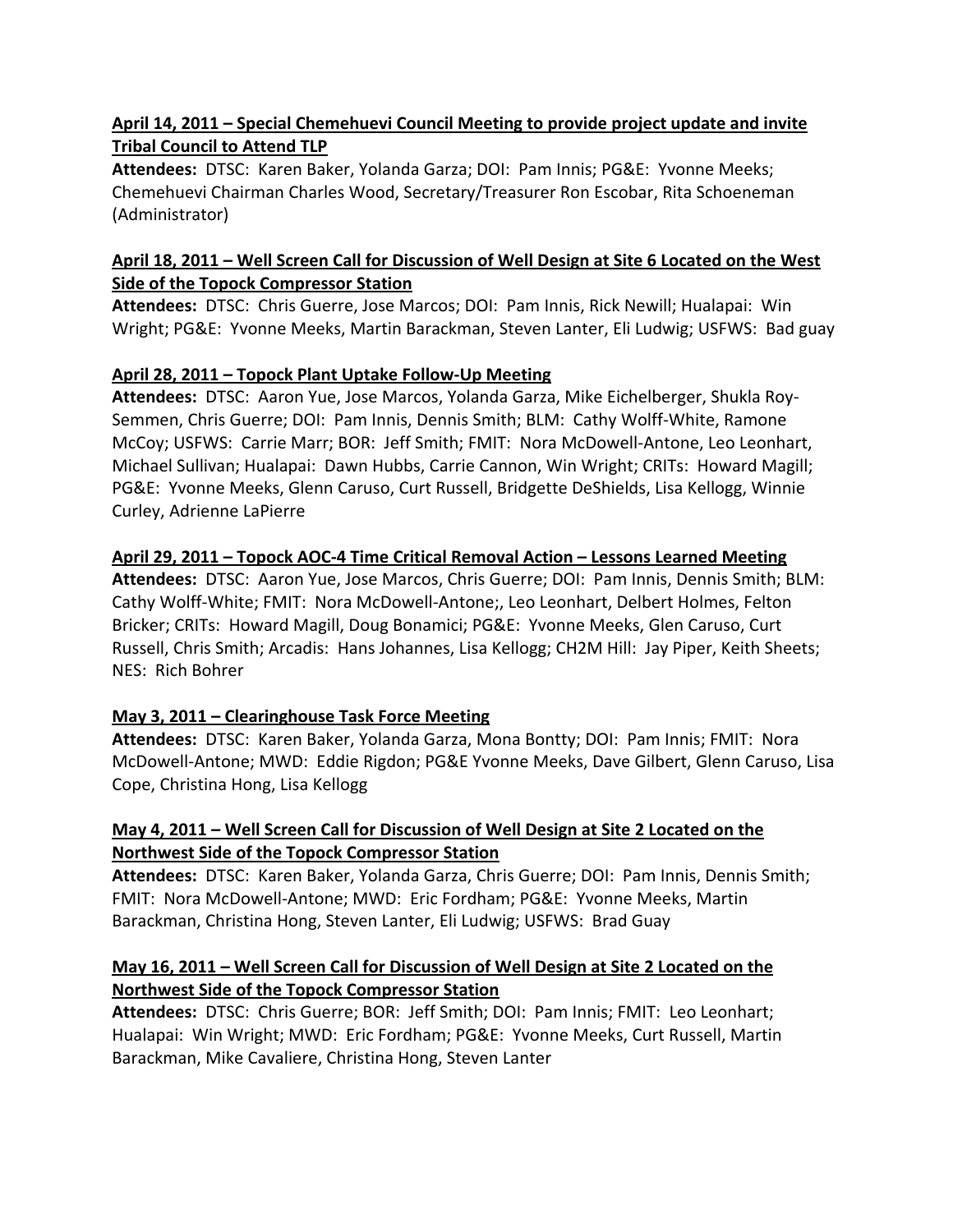### <u> April 14, 2011 – Special Chemehuevi Council Meeting to provide project update and invite</u>  **Tribal Council to Attend TLP**

 **Attendees:** DTSC: Karen Baker, Yolanda Garza; DOI: Pam Innis; PG&E: Yvonne Meeks; Chemehuevi Chairman Charles Wood, Secretary/Treasurer Ron Escobar, Rita Schoeneman (Administrator)

### April 18, 2011 – Well Screen Call for Discussion of Well Design at Site 6 Located on the West  **Side of the Topock Compressor Station**

 **Attendees:** DTSC: Chris Guerre, Jose Marcos; DOI: Pam Innis, Rick Newill; Hualapai: Win Wright; PG&E: Yvonne Meeks, Martin Barackman, Steven Lanter, Eli Ludwig; USFWS: Bad guay

### **April 28, 2011 – Topock Plant Uptake Follow‐Up Meeting**

 **Attendees:** DTSC: Aaron Yue, Jose Marcos, Yolanda Garza, Mike Eichelberger, Shukla Roy‐ Semmen, Chris Guerre; DOI: Pam Innis, Dennis Smith; BLM: Cathy Wolff‐White, Ramone McCoy; USFWS: Carrie Marr; BOR: Jeff Smith; FMIT: Nora McDowell‐Antone, Leo Leonhart, Michael Sullivan; Hualapai: Dawn Hubbs, Carrie Cannon, Win Wright; CRITs: Howard Magill; PG&E: Yvonne Meeks, Glenn Caruso, Curt Russell, Bridgette DeShields, Lisa Kellogg, Winnie Curley, Adrienne LaPierre

### April 29, 2011 – Topock AOC-4 Time Critical Removal Action – Lessons Learned Meeting

 **Attendees:** DTSC: Aaron Yue, Jose Marcos, Chris Guerre; DOI: Pam Innis, Dennis Smith; BLM: Cathy Wolff‐White; FMIT: Nora McDowell‐Antone;, Leo Leonhart, Delbert Holmes, Felton Bricker; CRITs: Howard Magill, Doug Bonamici; PG&E: Yvonne Meeks, Glen Caruso, Curt Russell, Chris Smith; Arcadis: Hans Johannes, Lisa Kellogg; CH2M Hill: Jay Piper, Keith Sheets; NES: Rich Bohrer

## **May 3, 2011 – Clearinghouse Task Force Meeting**

 **Attendees:** DTSC: Karen Baker, Yolanda Garza, Mona Bontty; DOI: Pam Innis; FMIT: Nora McDowell‐Antone; MWD: Eddie Rigdon; PG&E Yvonne Meeks, Dave Gilbert, Glenn Caruso, Lisa Cope, Christina Hong, Lisa Kellogg

### May 4, 2011 – Well Screen Call for Discussion of Well Design at Site 2 Located on the  **Northwest Side of the Topock Compressor Station**

 **Attendees:** DTSC: Karen Baker, Yolanda Garza, Chris Guerre; DOI: Pam Innis, Dennis Smith; FMIT: Nora McDowell‐Antone; MWD: Eric Fordham; PG&E: Yvonne Meeks, Martin Barackman, Christina Hong, Steven Lanter, Eli Ludwig; USFWS: Brad Guay

### May 16, 2011 - Well Screen Call for Discussion of Well Design at Site 2 Located on the  **Northwest Side of the Topock Compressor Station**

 **Attendees:** DTSC: Chris Guerre; BOR: Jeff Smith; DOI: Pam Innis; FMIT: Leo Leonhart; Hualapai: Win Wright; MWD: Eric Fordham; PG&E: Yvonne Meeks, Curt Russell, Martin Barackman, Mike Cavaliere, Christina Hong, Steven Lanter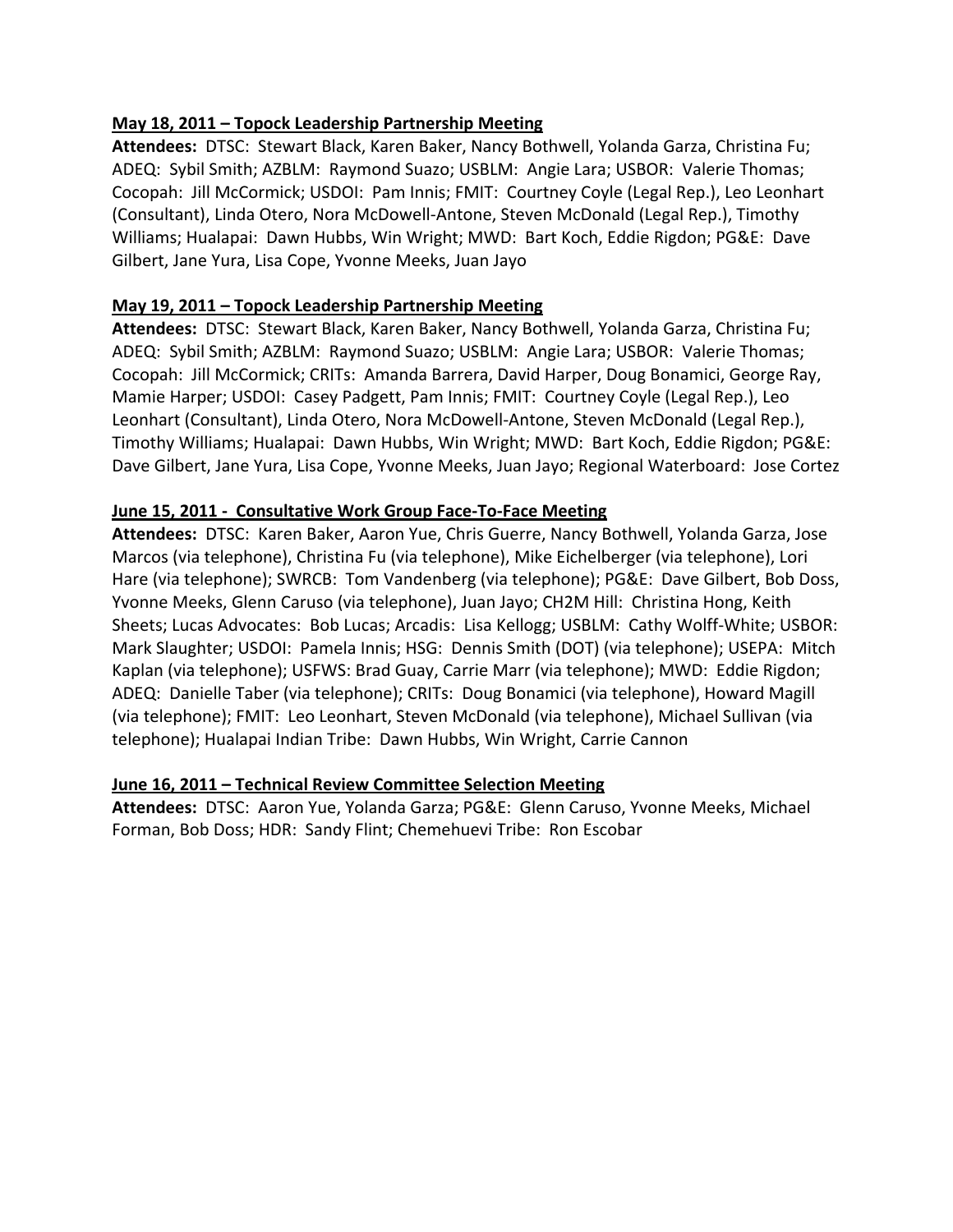#### **May 18, 2011 – Topock Leadership Partnership Meeting**

 **Attendees:** DTSC: Stewart Black, Karen Baker, Nancy Bothwell, Yolanda Garza, Christina Fu; ADEQ: Sybil Smith; AZBLM: Raymond Suazo; USBLM: Angie Lara; USBOR: Valerie Thomas; Cocopah: Jill McCormick; USDOI: Pam Innis; FMIT: Courtney Coyle (Legal Rep.), Leo Leonhart (Consultant), Linda Otero, Nora McDowell‐Antone, Steven McDonald (Legal Rep.), Timothy Williams; Hualapai: Dawn Hubbs, Win Wright; MWD: Bart Koch, Eddie Rigdon; PG&E: Dave Gilbert, Jane Yura, Lisa Cope, Yvonne Meeks, Juan Jayo

#### **May 19, 2011 – Topock Leadership Partnership Meeting**

 **Attendees:** DTSC: Stewart Black, Karen Baker, Nancy Bothwell, Yolanda Garza, Christina Fu; ADEQ: Sybil Smith; AZBLM: Raymond Suazo; USBLM: Angie Lara; USBOR: Valerie Thomas; Cocopah: Jill McCormick; CRITs: Amanda Barrera, David Harper, Doug Bonamici, George Ray, Mamie Harper; USDOI: Casey Padgett, Pam Innis; FMIT: Courtney Coyle (Legal Rep.), Leo Leonhart (Consultant), Linda Otero, Nora McDowell‐Antone, Steven McDonald (Legal Rep.), Timothy Williams; Hualapai: Dawn Hubbs, Win Wright; MWD: Bart Koch, Eddie Rigdon; PG&E: Dave Gilbert, Jane Yura, Lisa Cope, Yvonne Meeks, Juan Jayo; Regional Waterboard: Jose Cortez

#### **June 15, 2011 ‐ Consultative Work Group Face‐To‐Face Meeting**

 **Attendees:** DTSC: Karen Baker, Aaron Yue, Chris Guerre, Nancy Bothwell, Yolanda Garza, Jose Marcos (via telephone), Christina Fu (via telephone), Mike Eichelberger (via telephone), Lori Hare (via telephone); SWRCB: Tom Vandenberg (via telephone); PG&E: Dave Gilbert, Bob Doss, Yvonne Meeks, Glenn Caruso (via telephone), Juan Jayo; CH2M Hill: Christina Hong, Keith Sheets; Lucas Advocates: Bob Lucas; Arcadis: Lisa Kellogg; USBLM: Cathy Wolff‐White; USBOR: Mark Slaughter; USDOI: Pamela Innis; HSG: Dennis Smith (DOT) (via telephone); USEPA: Mitch Kaplan (via telephone); USFWS: Brad Guay, Carrie Marr (via telephone); MWD: Eddie Rigdon; ADEQ: Danielle Taber (via telephone); CRITs: Doug Bonamici (via telephone), Howard Magill (via telephone); FMIT: Leo Leonhart, Steven McDonald (via telephone), Michael Sullivan (via telephone); Hualapai Indian Tribe: Dawn Hubbs, Win Wright, Carrie Cannon

#### **June 16, 2011 – Technical Review Committee Selection Meeting**

 **Attendees:** DTSC: Aaron Yue, Yolanda Garza; PG&E: Glenn Caruso, Yvonne Meeks, Michael Forman, Bob Doss; HDR: Sandy Flint; Chemehuevi Tribe: Ron Escobar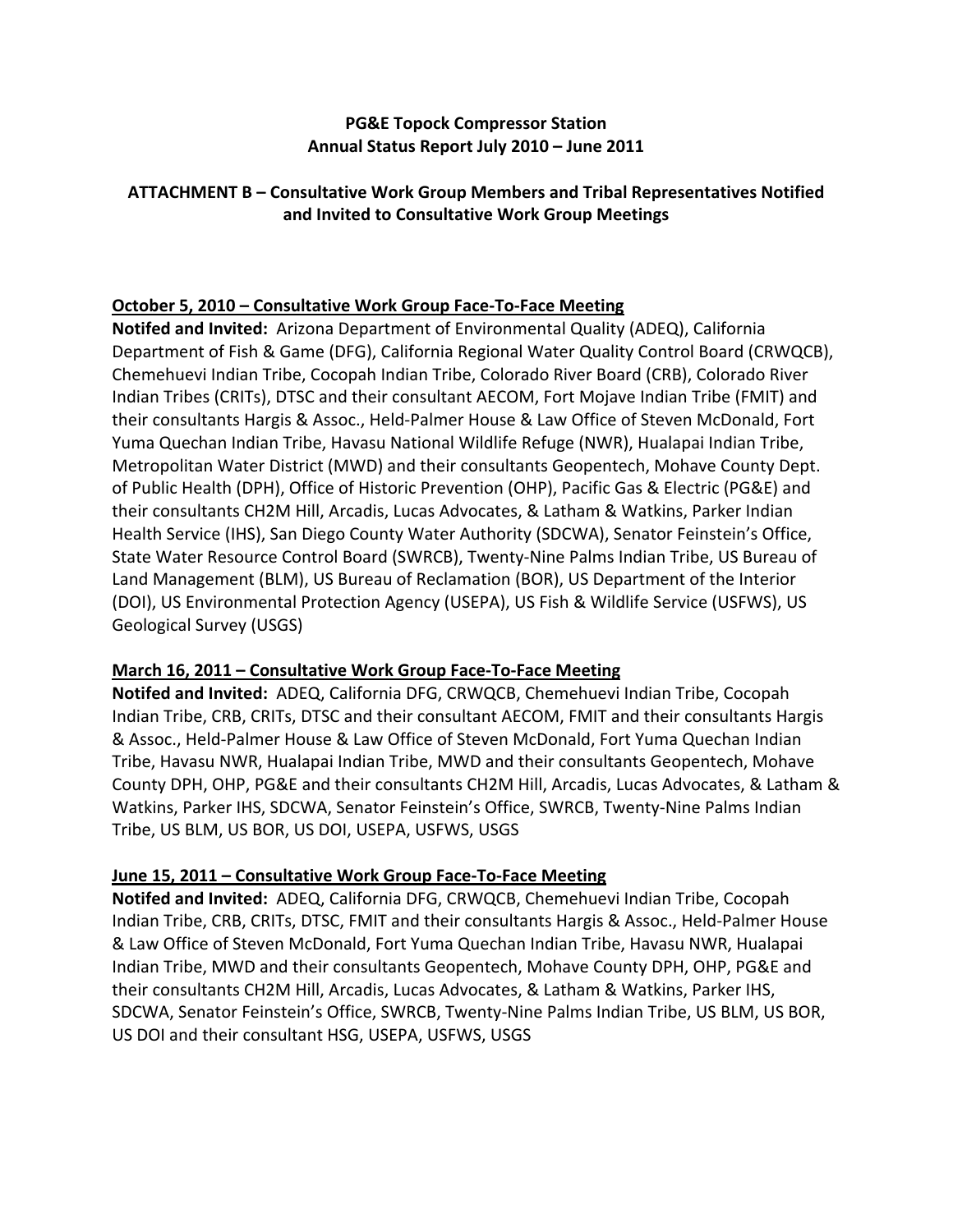#### **PG&E Topock Compressor Station Annual Status Report July 2010 – June 2011**

#### **ATTACHMENT B – Consultative Work Group Members and Tribal Representatives Notified and Invited to Consultative Work Group Meetings**

### **October 5, 2010 – Consultative Work Group Face‐To‐Face Meeting**

 **Notifed and Invited:** Arizona Department of Environmental Quality (ADEQ), California Department of Fish & Game (DFG), California Regional Water Quality Control Board (CRWQCB), Chemehuevi Indian Tribe, Cocopah Indian Tribe, Colorado River Board (CRB), Colorado River Indian Tribes (CRITs), DTSC and their consultant AECOM, Fort Mojave Indian Tribe (FMIT) and their consultants Hargis & Assoc., Held‐Palmer House & Law Office of Steven McDonald, Fort Yuma Quechan Indian Tribe, Havasu National Wildlife Refuge (NWR), Hualapai Indian Tribe, Metropolitan Water District (MWD) and their consultants Geopentech, Mohave County Dept. of Public Health (DPH), Office of Historic Prevention (OHP), Pacific Gas & Electric (PG&E) and their consultants CH2M Hill, Arcadis, Lucas Advocates, & Latham & Watkins, Parker Indian Health Service (IHS), San Diego County Water Authority (SDCWA), Senator Feinstein's Office, State Water Resource Control Board (SWRCB), Twenty‐Nine Palms Indian Tribe, US Bureau of Land Management (BLM), US Bureau of Reclamation (BOR), US Department of the Interior (DOI), US Environmental Protection Agency (USEPA), US Fish & Wildlife Service (USFWS), US Geological Survey (USGS)

#### **March 16, 2011 – Consultative Work Group Face‐To‐Face Meeting**

 **Notifed and Invited:** ADEQ, California DFG, CRWQCB, Chemehuevi Indian Tribe, Cocopah Indian Tribe, CRB, CRITs, DTSC and their consultant AECOM, FMIT and their consultants Hargis & Assoc., Held‐Palmer House & Law Office of Steven McDonald, Fort Yuma Quechan Indian Tribe, Havasu NWR, Hualapai Indian Tribe, MWD and their consultants Geopentech, Mohave County DPH, OHP, PG&E and their consultants CH2M Hill, Arcadis, Lucas Advocates, & Latham & Watkins, Parker IHS, SDCWA, Senator Feinstein's Office, SWRCB, Twenty‐Nine Palms Indian Tribe, US BLM, US BOR, US DOI, USEPA, USFWS, USGS

#### **June 15, 2011 – Consultative Work Group Face‐To‐Face Meeting**

 **Notifed and Invited:** ADEQ, California DFG, CRWQCB, Chemehuevi Indian Tribe, Cocopah Indian Tribe, CRB, CRITs, DTSC, FMIT and their consultants Hargis & Assoc., Held‐Palmer House & Law Office of Steven McDonald, Fort Yuma Quechan Indian Tribe, Havasu NWR, Hualapai Indian Tribe, MWD and their consultants Geopentech, Mohave County DPH, OHP, PG&E and their consultants CH2M Hill, Arcadis, Lucas Advocates, & Latham & Watkins, Parker IHS, SDCWA, Senator Feinstein's Office, SWRCB, Twenty‐Nine Palms Indian Tribe, US BLM, US BOR, US DOI and their consultant HSG, USEPA, USFWS, USGS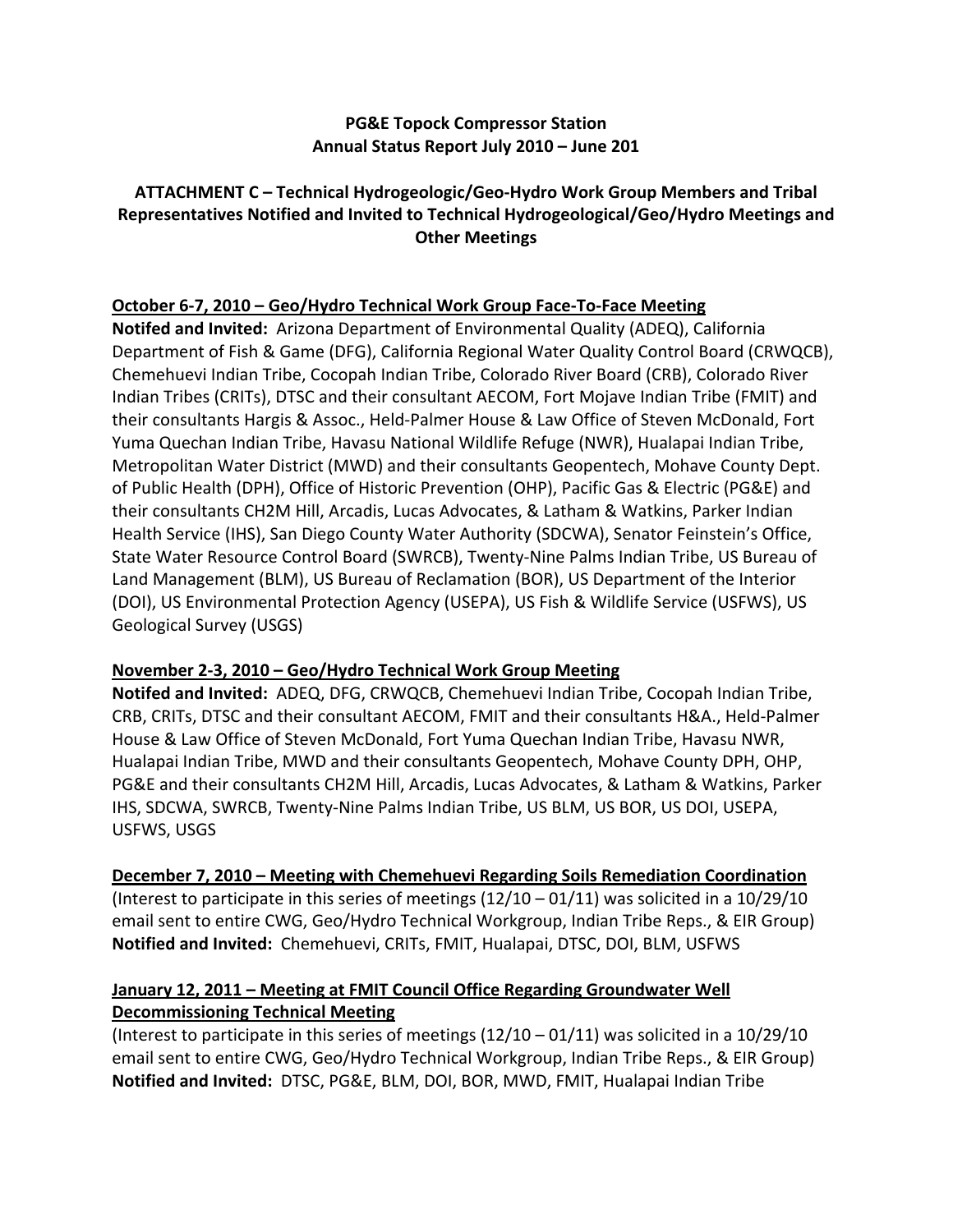#### **PG&E Topock Compressor Station Annual Status Report July 2010 – June 201**

### **ATTACHMENT C – Technical Hydrogeologic/Geo‐Hydro Work Group Members and Tribal Representatives Notified and Invited to Technical Hydrogeological/Geo/Hydro Meetings and Other Meetings**

### **October 6‐7, 2010 – Geo/Hydro Technical Work Group Face‐To‐Face Meeting**

 **Notifed and Invited:** Arizona Department of Environmental Quality (ADEQ), California Department of Fish & Game (DFG), California Regional Water Quality Control Board (CRWQCB), Chemehuevi Indian Tribe, Cocopah Indian Tribe, Colorado River Board (CRB), Colorado River Indian Tribes (CRITs), DTSC and their consultant AECOM, Fort Mojave Indian Tribe (FMIT) and their consultants Hargis & Assoc., Held‐Palmer House & Law Office of Steven McDonald, Fort Yuma Quechan Indian Tribe, Havasu National Wildlife Refuge (NWR), Hualapai Indian Tribe, Metropolitan Water District (MWD) and their consultants Geopentech, Mohave County Dept. of Public Health (DPH), Office of Historic Prevention (OHP), Pacific Gas & Electric (PG&E) and their consultants CH2M Hill, Arcadis, Lucas Advocates, & Latham & Watkins, Parker Indian Health Service (IHS), San Diego County Water Authority (SDCWA), Senator Feinstein's Office, State Water Resource Control Board (SWRCB), Twenty‐Nine Palms Indian Tribe, US Bureau of Land Management (BLM), US Bureau of Reclamation (BOR), US Department of the Interior (DOI), US Environmental Protection Agency (USEPA), US Fish & Wildlife Service (USFWS), US Geological Survey (USGS)

#### **November 2‐3, 2010 – Geo/Hydro Technical Work Group Meeting**

 **Notifed and Invited:** ADEQ, DFG, CRWQCB, Chemehuevi Indian Tribe, Cocopah Indian Tribe, CRB, CRITs, DTSC and their consultant AECOM, FMIT and their consultants H&A., Held‐Palmer House & Law Office of Steven McDonald, Fort Yuma Quechan Indian Tribe, Havasu NWR, Hualapai Indian Tribe, MWD and their consultants Geopentech, Mohave County DPH, OHP, PG&E and their consultants CH2M Hill, Arcadis, Lucas Advocates, & Latham & Watkins, Parker IHS, SDCWA, SWRCB, Twenty‐Nine Palms Indian Tribe, US BLM, US BOR, US DOI, USEPA, USFWS, USGS

 **December 7, 2010 – Meeting with Chemehuevi Regarding Soils Remediation Coordination** (Interest to participate in this series of meetings (12/10 – 01/11) was solicited in a 10/29/10 email sent to entire CWG, Geo/Hydro Technical Workgroup, Indian Tribe Reps., & EIR Group)  **Notified and Invited:** Chemehuevi, CRITs, FMIT, Hualapai, DTSC, DOI, BLM, USFWS

### **January 12, 2011 – Meeting at FMIT Council Office Regarding Groundwater Well Decommissioning Technical Meeting**

 (Interest to participate in this series of meetings (12/10 – 01/11) was solicited in a 10/29/10 email sent to entire CWG, Geo/Hydro Technical Workgroup, Indian Tribe Reps., & EIR Group)  **Notified and Invited:** DTSC, PG&E, BLM, DOI, BOR, MWD, FMIT, Hualapai Indian Tribe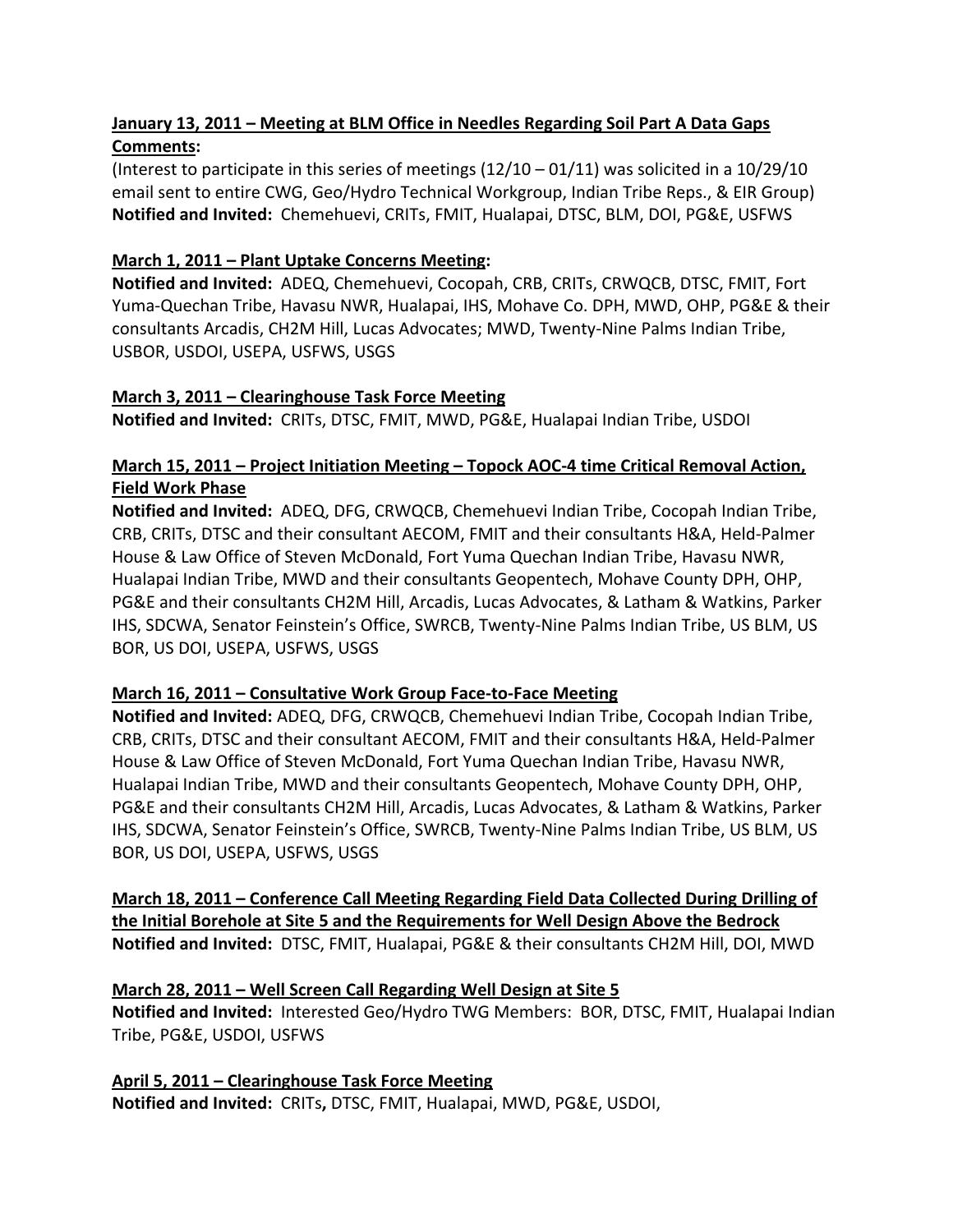## <u> January 13, 2011 – Meeting at BLM Office in Needles Regarding Soil Part A Data Gaps</u>  **Comments:**

 (Interest to participate in this series of meetings (12/10 – 01/11) was solicited in a 10/29/10 email sent to entire CWG, Geo/Hydro Technical Workgroup, Indian Tribe Reps., & EIR Group)  **Notified and Invited:** Chemehuevi, CRITs, FMIT, Hualapai, DTSC, BLM, DOI, PG&E, USFWS

## **March 1, 2011 – Plant Uptake Concerns Meeting:**

 **Notified and Invited:** ADEQ, Chemehuevi, Cocopah, CRB, CRITs, CRWQCB, DTSC, FMIT, Fort Yuma‐Quechan Tribe, Havasu NWR, Hualapai, IHS, Mohave Co. DPH, MWD, OHP, PG&E & their consultants Arcadis, CH2M Hill, Lucas Advocates; MWD, Twenty‐Nine Palms Indian Tribe, USBOR, USDOI, USEPA, USFWS, USGS

#### **March 3, 2011 – Clearinghouse Task Force Meeting**

 **Notified and Invited:** CRITs, DTSC, FMIT, MWD, PG&E, Hualapai Indian Tribe, USDOI

### <u> March 15, 2011 – Project Initiation Meeting – Topock AOC-4 time Critical Removal Action,</u>  **Field Work Phase**

 **Notified and Invited:** ADEQ, DFG, CRWQCB, Chemehuevi Indian Tribe, Cocopah Indian Tribe, CRB, CRITs, DTSC and their consultant AECOM, FMIT and their consultants H&A, Held‐Palmer House & Law Office of Steven McDonald, Fort Yuma Quechan Indian Tribe, Havasu NWR, Hualapai Indian Tribe, MWD and their consultants Geopentech, Mohave County DPH, OHP, PG&E and their consultants CH2M Hill, Arcadis, Lucas Advocates, & Latham & Watkins, Parker IHS, SDCWA, Senator Feinstein's Office, SWRCB, Twenty‐Nine Palms Indian Tribe, US BLM, US BOR, US DOI, USEPA, USFWS, USGS

#### **March 16, 2011 – Consultative Work Group Face‐to‐Face Meeting**

 **Notified and Invited:** ADEQ, DFG, CRWQCB, Chemehuevi Indian Tribe, Cocopah Indian Tribe, CRB, CRITs, DTSC and their consultant AECOM, FMIT and their consultants H&A, Held‐Palmer House & Law Office of Steven McDonald, Fort Yuma Quechan Indian Tribe, Havasu NWR, Hualapai Indian Tribe, MWD and their consultants Geopentech, Mohave County DPH, OHP, PG&E and their consultants CH2M Hill, Arcadis, Lucas Advocates, & Latham & Watkins, Parker IHS, SDCWA, Senator Feinstein's Office, SWRCB, Twenty‐Nine Palms Indian Tribe, US BLM, US BOR, US DOI, USEPA, USFWS, USGS

 **March 18, 2011 – Conference Call Meeting Regarding Field Data Collected During Drilling of** the Initial Borehole at Site 5 and the Requirements for Well Design Above the Bedrock  **Notified and Invited:** DTSC, FMIT, Hualapai, PG&E & their consultants CH2M Hill, DOI, MWD

## **March 28, 2011 – Well Screen Call Regarding Well Design at Site 5**

 **Notified and Invited:** Interested Geo/Hydro TWG Members: BOR, DTSC, FMIT, Hualapai Indian Tribe, PG&E, USDOI, USFWS

 **April 5, 2011 – Clearinghouse Task Force Meeting Notified and Invited:** CRITs**,** DTSC, FMIT, Hualapai, MWD, PG&E, USDOI,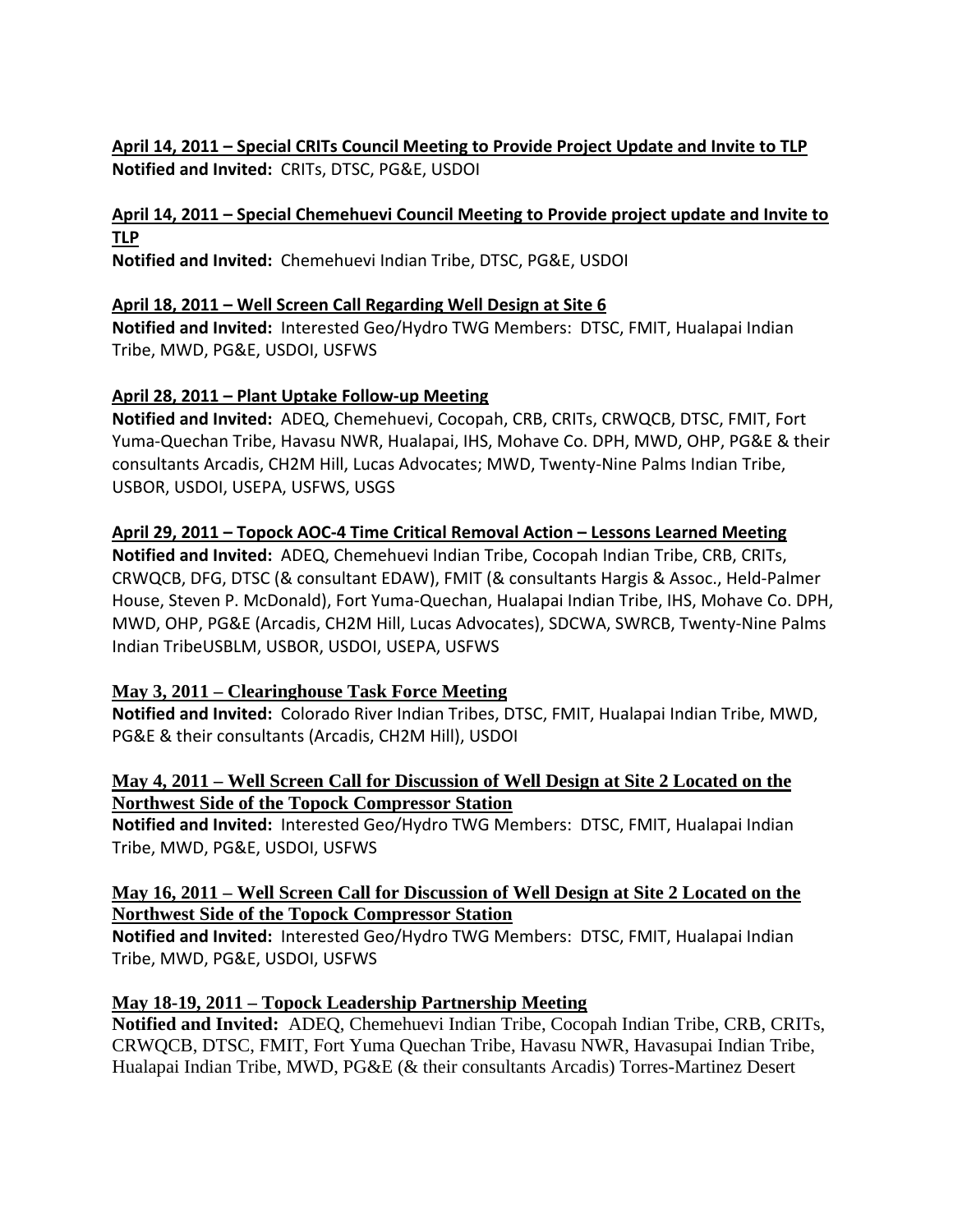## <u> April 14, 2011 – Special CRITs Council Meeting to Provide Project Update and Invite to TLP</u>  **Notified and Invited:** CRITs, DTSC, PG&E, USDOI

## April 14, 2011 – Special Chemehuevi Council Meeting to Provide project update and Invite to **TLP**

 **Notified and Invited:** Chemehuevi Indian Tribe, DTSC, PG&E, USDOI

## **April 18, 2011 – Well Screen Call Regarding Well Design at Site 6**

 **Notified and Invited:** Interested Geo/Hydro TWG Members: DTSC, FMIT, Hualapai Indian Tribe, MWD, PG&E, USDOI, USFWS

#### **April 28, 2011 – Plant Uptake Follow‐up Meeting**

 **Notified and Invited:** ADEQ, Chemehuevi, Cocopah, CRB, CRITs, CRWQCB, DTSC, FMIT, Fort Yuma‐Quechan Tribe, Havasu NWR, Hualapai, IHS, Mohave Co. DPH, MWD, OHP, PG&E & their consultants Arcadis, CH2M Hill, Lucas Advocates; MWD, Twenty‐Nine Palms Indian Tribe, USBOR, USDOI, USEPA, USFWS, USGS

### April 29, 2011 – Topock AOC-4 Time Critical Removal Action – Lessons Learned Meeting

 **Notified and Invited:** ADEQ, Chemehuevi Indian Tribe, Cocopah Indian Tribe, CRB, CRITs, CRWQCB, DFG, DTSC (& consultant EDAW), FMIT (& consultants Hargis & Assoc., Held‐Palmer House, Steven P. McDonald), Fort Yuma‐Quechan, Hualapai Indian Tribe, IHS, Mohave Co. DPH, MWD, OHP, PG&E (Arcadis, CH2M Hill, Lucas Advocates), SDCWA, SWRCB, Twenty‐Nine Palms Indian TribeUSBLM, USBOR, USDOI, USEPA, USFWS

#### **May 3, 2011 – Clearinghouse Task Force Meeting**

 **Notified and Invited:** Colorado River Indian Tribes, DTSC, FMIT, Hualapai Indian Tribe, MWD, PG&E & their consultants (Arcadis, CH2M Hill), USDOI

#### **May 4, 2011 – Well Screen Call for Discussion of Well Design at Site 2 Located on the Northwest Side of the Topock Compressor Station**

 **Notified and Invited:** Interested Geo/Hydro TWG Members: DTSC, FMIT, Hualapai Indian Tribe, MWD, PG&E, USDOI, USFWS

#### **May 16, 2011 – Well Screen Call for Discussion of Well Design at Site 2 Located on the Northwest Side of the Topock Compressor Station**

 **Notified and Invited:** Interested Geo/Hydro TWG Members: DTSC, FMIT, Hualapai Indian Tribe, MWD, PG&E, USDOI, USFWS

#### **May 18-19, 2011 – Topock Leadership Partnership Meeting**

**Notified and Invited:** ADEQ, Chemehuevi Indian Tribe, Cocopah Indian Tribe, CRB, CRITs, CRWQCB, DTSC, FMIT, Fort Yuma Quechan Tribe, Havasu NWR, Havasupai Indian Tribe, Hualapai Indian Tribe, MWD, PG&E (& their consultants Arcadis) Torres-Martinez Desert